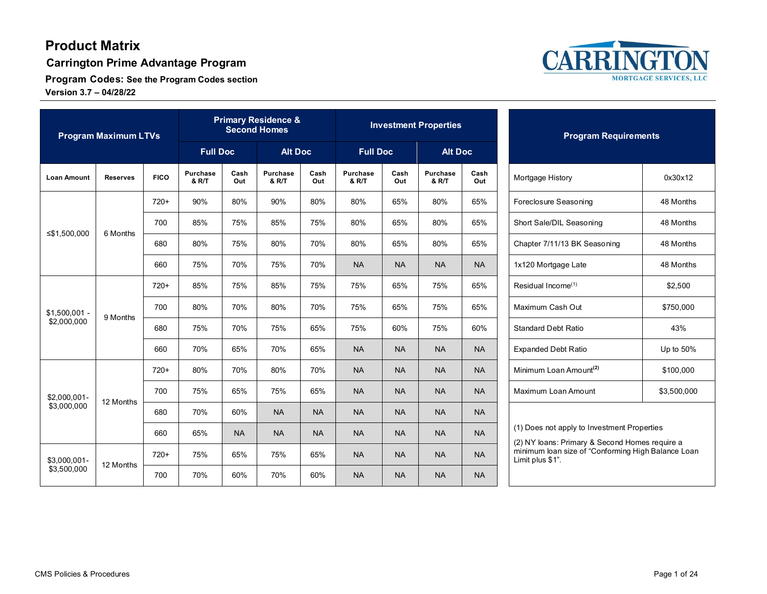**Carrington Prime Advantage Program**

**Program Codes: See the Program Codes section Version 3.7 – 04/28/22**



| <b>Program Maximum LTVs</b>   |                 |             | <b>Primary Residence &amp;</b><br><b>Second Homes</b> |             |                              |             | <b>Investment Properties</b> |             |                              |             | <b>Program Requirements</b>                                                                   |  |
|-------------------------------|-----------------|-------------|-------------------------------------------------------|-------------|------------------------------|-------------|------------------------------|-------------|------------------------------|-------------|-----------------------------------------------------------------------------------------------|--|
|                               |                 |             | <b>Full Doc</b>                                       |             | <b>Alt Doc</b>               |             | <b>Full Doc</b>              |             | <b>Alt Doc</b>               |             |                                                                                               |  |
| <b>Loan Amount</b>            | <b>Reserves</b> | <b>FICO</b> | <b>Purchase</b><br>& R/T                              | Cash<br>Out | Purchase<br><b>&amp; R/T</b> | Cash<br>Out | <b>Purchase</b><br>& R/T     | Cash<br>Out | Purchase<br><b>&amp; R/T</b> | Cash<br>Out | 0x30x12<br>Mortgage History                                                                   |  |
|                               |                 | $720+$      | 90%                                                   | 80%         | 90%                          | 80%         | 80%                          | 65%         | 80%                          | 65%         | Foreclosure Seasoning<br>48 Months                                                            |  |
|                               | 6 Months        | 700         | 85%                                                   | 75%         | 85%                          | 75%         | 80%                          | 65%         | 80%                          | 65%         | Short Sale/DIL Seasoning<br>48 Months                                                         |  |
| ≤\$1,500,000                  |                 | 680         | 80%                                                   | 75%         | 80%                          | 70%         | 80%                          | 65%         | 80%                          | 65%         | Chapter 7/11/13 BK Seasoning<br>48 Months                                                     |  |
|                               |                 | 660         | 75%                                                   | 70%         | 75%                          | 70%         | <b>NA</b>                    | <b>NA</b>   | <b>NA</b>                    | <b>NA</b>   | 48 Months<br>1x120 Mortgage Late                                                              |  |
|                               | 9 Months        | $720+$      | 85%                                                   | 75%         | 85%                          | 75%         | 75%                          | 65%         | 75%                          | 65%         | Residual Income <sup>(1)</sup><br>\$2,500                                                     |  |
| $$1,500,001$ -<br>\$2,000,000 |                 | 700         | 80%                                                   | 70%         | 80%                          | 70%         | 75%                          | 65%         | 75%                          | 65%         | Maximum Cash Out<br>\$750,000                                                                 |  |
|                               |                 | 680         | 75%                                                   | 70%         | 75%                          | 65%         | 75%                          | 60%         | 75%                          | 60%         | <b>Standard Debt Ratio</b><br>43%                                                             |  |
|                               |                 | 660         | 70%                                                   | 65%         | 70%                          | 65%         | <b>NA</b>                    | <b>NA</b>   | <b>NA</b>                    | <b>NA</b>   | <b>Expanded Debt Ratio</b><br>Up to 50%                                                       |  |
| \$2.000.001-<br>\$3,000,000   | 12 Months       | 720+        | 80%                                                   | 70%         | 80%                          | 70%         | <b>NA</b>                    | <b>NA</b>   | <b>NA</b>                    | <b>NA</b>   | Minimum Loan Amount <sup>(2)</sup><br>\$100,000                                               |  |
|                               |                 | 700         | 75%                                                   | 65%         | 75%                          | 65%         | <b>NA</b>                    | <b>NA</b>   | <b>NA</b>                    | <b>NA</b>   | Maximum Loan Amount<br>\$3,500,000                                                            |  |
|                               |                 | 680         | 70%                                                   | 60%         | <b>NA</b>                    | <b>NA</b>   | <b>NA</b>                    | <b>NA</b>   | <b>NA</b>                    | <b>NA</b>   |                                                                                               |  |
|                               |                 | 660         | 65%                                                   | <b>NA</b>   | <b>NA</b>                    | <b>NA</b>   | <b>NA</b>                    | <b>NA</b>   | <b>NA</b>                    | <b>NA</b>   | (1) Does not apply to Investment Properties<br>(2) NY loans: Primary & Second Homes require a |  |
| \$3,000,001-<br>\$3,500,000   |                 | $720+$      | 75%                                                   | 65%         | 75%                          | 65%         | <b>NA</b>                    | <b>NA</b>   | <b>NA</b>                    | <b>NA</b>   | minimum loan size of "Conforming High Balance Loan<br>Limit plus \$1".                        |  |
|                               | 12 Months       | 700         | 70%                                                   | 60%         | 70%                          | 60%         | <b>NA</b>                    | <b>NA</b>   | <b>NA</b>                    | <b>NA</b>   |                                                                                               |  |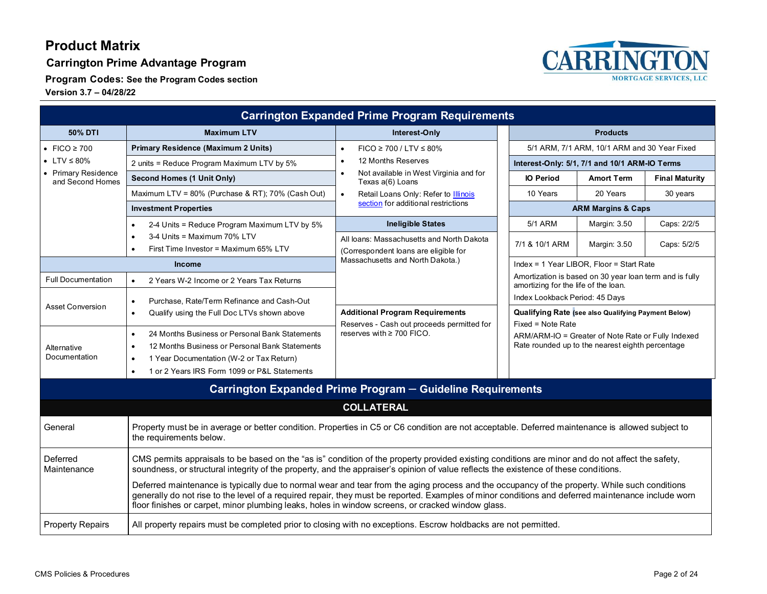**Carrington Prime Advantage Program**

**Program Codes: See the Program Codes section**



|                                         |                                                                                                                                                                                                                                                                                                                                                                                                          | <b>Carrington Expanded Prime Program Requirements</b>                              |                                                                                                                                                                                           |                                          |                       |
|-----------------------------------------|----------------------------------------------------------------------------------------------------------------------------------------------------------------------------------------------------------------------------------------------------------------------------------------------------------------------------------------------------------------------------------------------------------|------------------------------------------------------------------------------------|-------------------------------------------------------------------------------------------------------------------------------------------------------------------------------------------|------------------------------------------|-----------------------|
| 50% DTI                                 | <b>Maximum LTV</b>                                                                                                                                                                                                                                                                                                                                                                                       | Interest-Only                                                                      | <b>Products</b>                                                                                                                                                                           |                                          |                       |
| • FICO $\geq 700$                       | <b>Primary Residence (Maximum 2 Units)</b>                                                                                                                                                                                                                                                                                                                                                               | $FICO \ge 700 / LTV \le 80\%$<br>$\bullet$                                         | 5/1 ARM, 7/1 ARM, 10/1 ARM and 30 Year Fixed                                                                                                                                              |                                          |                       |
| • LTV $\leq 80\%$                       | 2 units = Reduce Program Maximum LTV by 5%                                                                                                                                                                                                                                                                                                                                                               | 12 Months Reserves<br>$\bullet$                                                    | Interest-Only: 5/1, 7/1 and 10/1 ARM-IO Terms                                                                                                                                             |                                          |                       |
| • Primary Residence<br>and Second Homes | Second Homes (1 Unit Only)                                                                                                                                                                                                                                                                                                                                                                               | Not available in West Virginia and for<br>$\bullet$<br>Texas a(6) Loans            | <b>IO Period</b>                                                                                                                                                                          | <b>Amort Term</b>                        | <b>Final Maturity</b> |
|                                         | Maximum LTV = 80% (Purchase & RT); 70% (Cash Out)                                                                                                                                                                                                                                                                                                                                                        | Retail Loans Only: Refer to <b>Illinois</b><br>$\bullet$                           | 10 Years                                                                                                                                                                                  | 20 Years                                 | 30 years              |
|                                         | <b>Investment Properties</b>                                                                                                                                                                                                                                                                                                                                                                             | section for additional restrictions                                                | <b>ARM Margins &amp; Caps</b>                                                                                                                                                             |                                          |                       |
|                                         | 2-4 Units = Reduce Program Maximum LTV by 5%                                                                                                                                                                                                                                                                                                                                                             | <b>Ineligible States</b>                                                           | 5/1 ARM                                                                                                                                                                                   | Margin: 3.50                             | Caps: 2/2/5           |
|                                         | 3-4 Units = Maximum 70% LTV<br>First Time Investor = Maximum 65% LTV                                                                                                                                                                                                                                                                                                                                     | All loans: Massachusetts and North Dakota<br>(Correspondent loans are eligible for | 7/1 & 10/1 ARM                                                                                                                                                                            | Margin: 3.50                             | Caps: 5/2/5           |
|                                         | <b>Income</b>                                                                                                                                                                                                                                                                                                                                                                                            | Massachusetts and North Dakota.)                                                   |                                                                                                                                                                                           | Index = 1 Year LIBOR, Floor = Start Rate |                       |
| <b>Full Documentation</b>               | 2 Years W-2 Income or 2 Years Tax Returns<br>$\bullet$                                                                                                                                                                                                                                                                                                                                                   |                                                                                    | Amortization is based on 30 year loan term and is fully<br>amortizing for the life of the loan.                                                                                           |                                          |                       |
|                                         | Purchase, Rate/Term Refinance and Cash-Out<br>$\bullet$                                                                                                                                                                                                                                                                                                                                                  |                                                                                    | Index Lookback Period: 45 Days                                                                                                                                                            |                                          |                       |
| <b>Asset Conversion</b>                 | Qualify using the Full Doc LTVs shown above<br>$\bullet$                                                                                                                                                                                                                                                                                                                                                 | <b>Additional Program Requirements</b>                                             | <b>Qualifying Rate (see also Qualifying Payment Below)</b><br>Fixed = Note Rate<br>ARM/ARM-IO = Greater of Note Rate or Fully Indexed<br>Rate rounded up to the nearest eighth percentage |                                          |                       |
| Alternative<br>Documentation            | 24 Months Business or Personal Bank Statements<br>$\bullet$<br>12 Months Business or Personal Bank Statements<br>$\bullet$<br>1 Year Documentation (W-2 or Tax Return)<br>$\bullet$<br>1 or 2 Years IRS Form 1099 or P&L Statements                                                                                                                                                                      | Reserves - Cash out proceeds permitted for<br>reserves with $\geq$ 700 FICO.       |                                                                                                                                                                                           |                                          |                       |
|                                         |                                                                                                                                                                                                                                                                                                                                                                                                          | Carrington Expanded Prime Program - Guideline Requirements                         |                                                                                                                                                                                           |                                          |                       |
|                                         |                                                                                                                                                                                                                                                                                                                                                                                                          | <b>COLLATERAL</b>                                                                  |                                                                                                                                                                                           |                                          |                       |
| General                                 | Property must be in average or better condition. Properties in C5 or C6 condition are not acceptable. Deferred maintenance is allowed subject to<br>the requirements below.                                                                                                                                                                                                                              |                                                                                    |                                                                                                                                                                                           |                                          |                       |
| Deferred<br>Maintenance                 | CMS permits appraisals to be based on the "as is" condition of the property provided existing conditions are minor and do not affect the safety,<br>soundness, or structural integrity of the property, and the appraiser's opinion of value reflects the existence of these conditions.                                                                                                                 |                                                                                    |                                                                                                                                                                                           |                                          |                       |
|                                         | Deferred maintenance is typically due to normal wear and tear from the aging process and the occupancy of the property. While such conditions<br>generally do not rise to the level of a required repair, they must be reported. Examples of minor conditions and deferred maintenance include worn<br>floor finishes or carpet, minor plumbing leaks, holes in window screens, or cracked window glass. |                                                                                    |                                                                                                                                                                                           |                                          |                       |
| <b>Property Repairs</b>                 | All property repairs must be completed prior to closing with no exceptions. Escrow holdbacks are not permitted.                                                                                                                                                                                                                                                                                          |                                                                                    |                                                                                                                                                                                           |                                          |                       |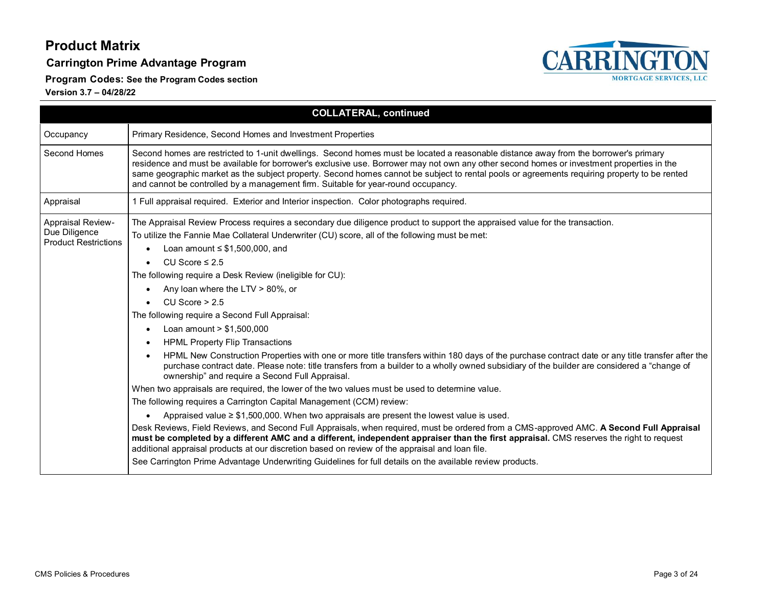#### **Carrington Prime Advantage Program**

**Program Codes: See the Program Codes section**



|                                                                          | <b>COLLATERAL, continued</b>                                                                                                                                                                                                                                                                                                                                                                                                                                                                                                                                                                                                                                                                                                                                                                                                                                                                                                                                                                                                                                                                                                                                                                                                                                                                                                                                                                                                                                                                                                                                                                                                                                                                                                |  |  |  |
|--------------------------------------------------------------------------|-----------------------------------------------------------------------------------------------------------------------------------------------------------------------------------------------------------------------------------------------------------------------------------------------------------------------------------------------------------------------------------------------------------------------------------------------------------------------------------------------------------------------------------------------------------------------------------------------------------------------------------------------------------------------------------------------------------------------------------------------------------------------------------------------------------------------------------------------------------------------------------------------------------------------------------------------------------------------------------------------------------------------------------------------------------------------------------------------------------------------------------------------------------------------------------------------------------------------------------------------------------------------------------------------------------------------------------------------------------------------------------------------------------------------------------------------------------------------------------------------------------------------------------------------------------------------------------------------------------------------------------------------------------------------------------------------------------------------------|--|--|--|
| Occupancy                                                                | Primary Residence, Second Homes and Investment Properties                                                                                                                                                                                                                                                                                                                                                                                                                                                                                                                                                                                                                                                                                                                                                                                                                                                                                                                                                                                                                                                                                                                                                                                                                                                                                                                                                                                                                                                                                                                                                                                                                                                                   |  |  |  |
| Second Homes                                                             | Second homes are restricted to 1-unit dwellings. Second homes must be located a reasonable distance away from the borrower's primary<br>residence and must be available for borrower's exclusive use. Borrower may not own any other second homes or investment properties in the<br>same geographic market as the subject property. Second homes cannot be subject to rental pools or agreements requiring property to be rented<br>and cannot be controlled by a management firm. Suitable for year-round occupancy.                                                                                                                                                                                                                                                                                                                                                                                                                                                                                                                                                                                                                                                                                                                                                                                                                                                                                                                                                                                                                                                                                                                                                                                                      |  |  |  |
| Appraisal                                                                | 1 Full appraisal required. Exterior and Interior inspection. Color photographs required.                                                                                                                                                                                                                                                                                                                                                                                                                                                                                                                                                                                                                                                                                                                                                                                                                                                                                                                                                                                                                                                                                                                                                                                                                                                                                                                                                                                                                                                                                                                                                                                                                                    |  |  |  |
| <b>Appraisal Review-</b><br>Due Diligence<br><b>Product Restrictions</b> | The Appraisal Review Process requires a secondary due diligence product to support the appraised value for the transaction.<br>To utilize the Fannie Mae Collateral Underwriter (CU) score, all of the following must be met:<br>Loan amount $\leq$ \$1,500,000, and<br>CU Score $\leq 2.5$<br>$\bullet$<br>The following require a Desk Review (ineligible for CU):<br>Any loan where the LTV $> 80\%$ , or<br>CU Score $> 2.5$<br>$\bullet$<br>The following require a Second Full Appraisal:<br>Loan amount $> $1,500,000$<br><b>HPML Property Flip Transactions</b><br>HPML New Construction Properties with one or more title transfers within 180 days of the purchase contract date or any title transfer after the<br>purchase contract date. Please note: title transfers from a builder to a wholly owned subsidiary of the builder are considered a "change of<br>ownership" and require a Second Full Appraisal.<br>When two appraisals are required, the lower of the two values must be used to determine value.<br>The following requires a Carrington Capital Management (CCM) review:<br>Appraised value $\geq$ \$1,500,000. When two appraisals are present the lowest value is used.<br>$\bullet$<br>Desk Reviews, Field Reviews, and Second Full Appraisals, when required, must be ordered from a CMS-approved AMC. A Second Full Appraisal<br>must be completed by a different AMC and a different, independent appraiser than the first appraisal. CMS reserves the right to request<br>additional appraisal products at our discretion based on review of the appraisal and loan file.<br>See Carrington Prime Advantage Underwriting Guidelines for full details on the available review products. |  |  |  |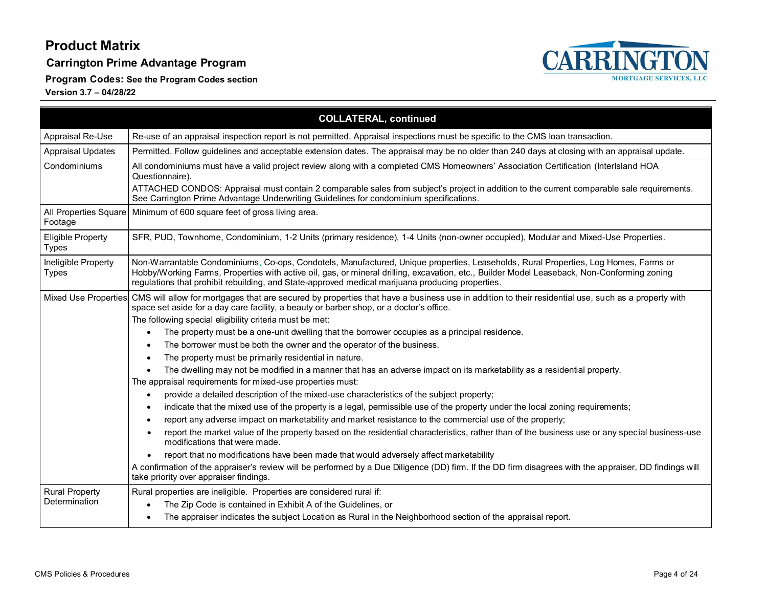**Carrington Prime Advantage Program**

**Program Codes: See the Program Codes section**



|                                          | <b>COLLATERAL, continued</b>                                                                                                                                                                                                                                                                                                                                                           |  |  |
|------------------------------------------|----------------------------------------------------------------------------------------------------------------------------------------------------------------------------------------------------------------------------------------------------------------------------------------------------------------------------------------------------------------------------------------|--|--|
| Appraisal Re-Use                         | Re-use of an appraisal inspection report is not permitted. Appraisal inspections must be specific to the CMS loan transaction.                                                                                                                                                                                                                                                         |  |  |
| <b>Appraisal Updates</b>                 | Permitted. Follow guidelines and acceptable extension dates. The appraisal may be no older than 240 days at closing with an appraisal update.                                                                                                                                                                                                                                          |  |  |
| Condominiums                             | All condominiums must have a valid project review along with a completed CMS Homeowners' Association Certification (Interlsland HOA<br>Questionnaire).<br>ATTACHED CONDOS: Appraisal must contain 2 comparable sales from subject's project in addition to the current comparable sale requirements.                                                                                   |  |  |
|                                          | See Carrington Prime Advantage Underwriting Guidelines for condominium specifications.                                                                                                                                                                                                                                                                                                 |  |  |
| All Properties Square<br>Footage         | Minimum of 600 square feet of gross living area.                                                                                                                                                                                                                                                                                                                                       |  |  |
| <b>Eligible Property</b><br><b>Types</b> | SFR, PUD, Townhome, Condominium, 1-2 Units (primary residence), 1-4 Units (non-owner occupied), Modular and Mixed-Use Properties.                                                                                                                                                                                                                                                      |  |  |
| Ineligible Property<br>Types             | Non-Warrantable Condominiums, Co-ops, Condotels, Manufactured, Unique properties, Leaseholds, Rural Properties, Log Homes, Farms or<br>Hobby/Working Farms, Properties with active oil, gas, or mineral drilling, excavation, etc., Builder Model Leaseback, Non-Conforming zoning<br>regulations that prohibit rebuilding, and State-approved medical marijuana producing properties. |  |  |
|                                          | Mixed Use Properties CMS will allow for mortgages that are secured by properties that have a business use in addition to their residential use, such as a property with<br>space set aside for a day care facility, a beauty or barber shop, or a doctor's office.<br>The following special eligibility criteria must be met:                                                          |  |  |
|                                          | The property must be a one-unit dwelling that the borrower occupies as a principal residence.                                                                                                                                                                                                                                                                                          |  |  |
|                                          | The borrower must be both the owner and the operator of the business.                                                                                                                                                                                                                                                                                                                  |  |  |
|                                          | The property must be primarily residential in nature.                                                                                                                                                                                                                                                                                                                                  |  |  |
|                                          | The dwelling may not be modified in a manner that has an adverse impact on its marketability as a residential property.                                                                                                                                                                                                                                                                |  |  |
|                                          | The appraisal requirements for mixed-use properties must:                                                                                                                                                                                                                                                                                                                              |  |  |
|                                          | provide a detailed description of the mixed-use characteristics of the subject property;                                                                                                                                                                                                                                                                                               |  |  |
|                                          | indicate that the mixed use of the property is a legal, permissible use of the property under the local zoning requirements;                                                                                                                                                                                                                                                           |  |  |
|                                          | report any adverse impact on marketability and market resistance to the commercial use of the property;                                                                                                                                                                                                                                                                                |  |  |
|                                          | report the market value of the property based on the residential characteristics, rather than of the business use or any special business-use<br>modifications that were made.                                                                                                                                                                                                         |  |  |
|                                          | report that no modifications have been made that would adversely affect marketability                                                                                                                                                                                                                                                                                                  |  |  |
|                                          | A confirmation of the appraiser's review will be performed by a Due Diligence (DD) firm. If the DD firm disagrees with the appraiser, DD findings will<br>take priority over appraiser findings.                                                                                                                                                                                       |  |  |
| <b>Rural Property</b>                    | Rural properties are ineligible. Properties are considered rural if:                                                                                                                                                                                                                                                                                                                   |  |  |
| Determination                            | The Zip Code is contained in Exhibit A of the Guidelines, or                                                                                                                                                                                                                                                                                                                           |  |  |
|                                          | The appraiser indicates the subject Location as Rural in the Neighborhood section of the appraisal report.<br>$\bullet$                                                                                                                                                                                                                                                                |  |  |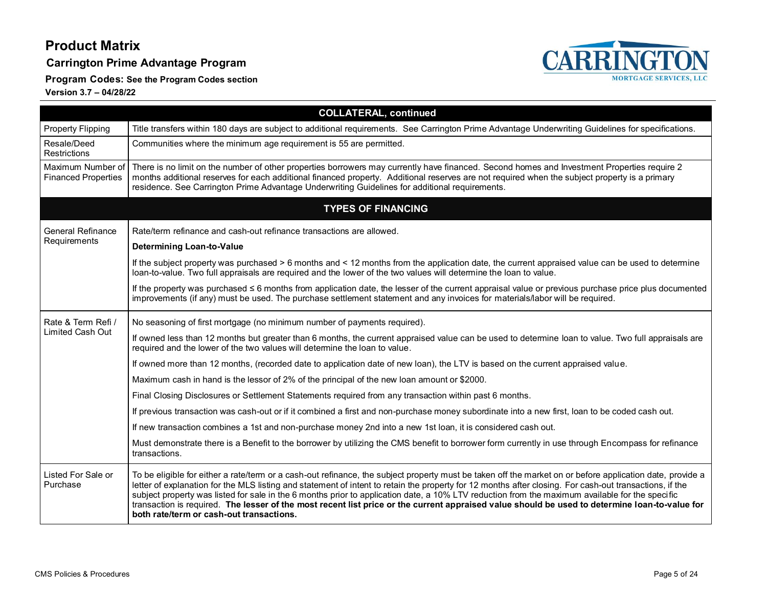**Carrington Prime Advantage Program**

**Program Codes: See the Program Codes section**



|                                                 | <b>COLLATERAL, continued</b>                                                                                                                                                                                                                                                                                                                                                                                                                                                                                                                                                                                                                                          |
|-------------------------------------------------|-----------------------------------------------------------------------------------------------------------------------------------------------------------------------------------------------------------------------------------------------------------------------------------------------------------------------------------------------------------------------------------------------------------------------------------------------------------------------------------------------------------------------------------------------------------------------------------------------------------------------------------------------------------------------|
| <b>Property Flipping</b>                        | Title transfers within 180 days are subject to additional requirements. See Carrington Prime Advantage Underwriting Guidelines for specifications.                                                                                                                                                                                                                                                                                                                                                                                                                                                                                                                    |
| Resale/Deed<br><b>Restrictions</b>              | Communities where the minimum age requirement is 55 are permitted.                                                                                                                                                                                                                                                                                                                                                                                                                                                                                                                                                                                                    |
| Maximum Number of<br><b>Financed Properties</b> | There is no limit on the number of other properties borrowers may currently have financed. Second homes and Investment Properties require 2<br>months additional reserves for each additional financed property. Additional reserves are not required when the subject property is a primary<br>residence. See Carrington Prime Advantage Underwriting Guidelines for additional requirements.                                                                                                                                                                                                                                                                        |
|                                                 | <b>TYPES OF FINANCING</b>                                                                                                                                                                                                                                                                                                                                                                                                                                                                                                                                                                                                                                             |
| <b>General Refinance</b>                        | Rate/term refinance and cash-out refinance transactions are allowed.                                                                                                                                                                                                                                                                                                                                                                                                                                                                                                                                                                                                  |
| Requirements                                    | <b>Determining Loan-to-Value</b>                                                                                                                                                                                                                                                                                                                                                                                                                                                                                                                                                                                                                                      |
|                                                 | If the subject property was purchased > 6 months and < 12 months from the application date, the current appraised value can be used to determine<br>loan-to-value. Two full appraisals are required and the lower of the two values will determine the loan to value.                                                                                                                                                                                                                                                                                                                                                                                                 |
|                                                 | If the property was purchased $\leq 6$ months from application date, the lesser of the current appraisal value or previous purchase price plus documented<br>improvements (if any) must be used. The purchase settlement statement and any invoices for materials/labor will be required.                                                                                                                                                                                                                                                                                                                                                                             |
| Rate & Term Refi /                              | No seasoning of first mortgage (no minimum number of payments required).                                                                                                                                                                                                                                                                                                                                                                                                                                                                                                                                                                                              |
| <b>Limited Cash Out</b>                         | If owned less than 12 months but greater than 6 months, the current appraised value can be used to determine loan to value. Two full appraisals are<br>required and the lower of the two values will determine the loan to value.                                                                                                                                                                                                                                                                                                                                                                                                                                     |
|                                                 | If owned more than 12 months, (recorded date to application date of new loan), the LTV is based on the current appraised value.                                                                                                                                                                                                                                                                                                                                                                                                                                                                                                                                       |
|                                                 | Maximum cash in hand is the lessor of 2% of the principal of the new loan amount or \$2000.                                                                                                                                                                                                                                                                                                                                                                                                                                                                                                                                                                           |
|                                                 | Final Closing Disclosures or Settlement Statements required from any transaction within past 6 months.                                                                                                                                                                                                                                                                                                                                                                                                                                                                                                                                                                |
|                                                 | If previous transaction was cash-out or if it combined a first and non-purchase money subordinate into a new first, loan to be coded cash out.                                                                                                                                                                                                                                                                                                                                                                                                                                                                                                                        |
|                                                 | If new transaction combines a 1st and non-purchase money 2nd into a new 1st loan, it is considered cash out.                                                                                                                                                                                                                                                                                                                                                                                                                                                                                                                                                          |
|                                                 | Must demonstrate there is a Benefit to the borrower by utilizing the CMS benefit to borrower form currently in use through Encompass for refinance<br>transactions.                                                                                                                                                                                                                                                                                                                                                                                                                                                                                                   |
| Listed For Sale or<br>Purchase                  | To be eligible for either a rate/term or a cash-out refinance, the subject property must be taken off the market on or before application date, provide a<br>letter of explanation for the MLS listing and statement of intent to retain the property for 12 months after closing. For cash-out transactions, if the<br>subject property was listed for sale in the 6 months prior to application date, a 10% LTV reduction from the maximum available for the specific<br>transaction is required. The lesser of the most recent list price or the current appraised value should be used to determine Ioan-to-value for<br>both rate/term or cash-out transactions. |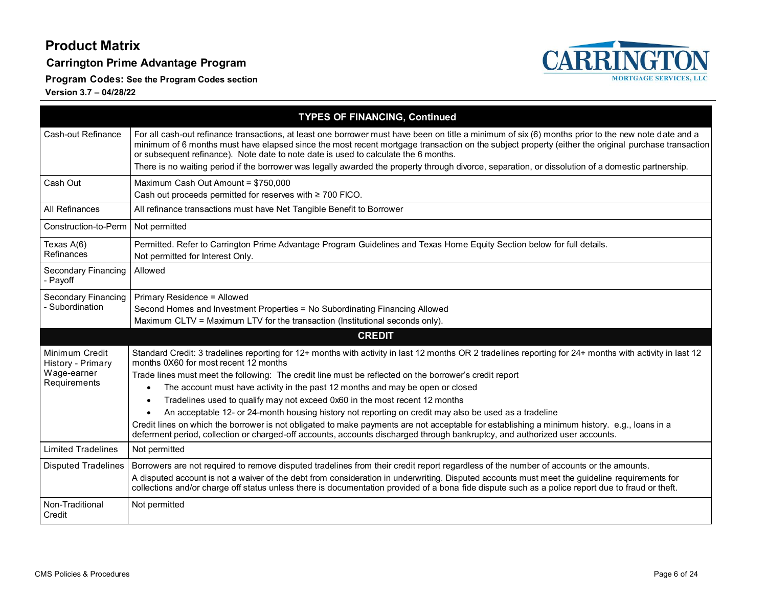**Carrington Prime Advantage Program**

**CARRINGTON** 

**Program Codes: See the Program Codes section**

**Version 3.7 – 04/28/22**

|                                               | <b>TYPES OF FINANCING, Continued</b>                                                                                                                                                                                                                                                                                                                                                             |
|-----------------------------------------------|--------------------------------------------------------------------------------------------------------------------------------------------------------------------------------------------------------------------------------------------------------------------------------------------------------------------------------------------------------------------------------------------------|
| Cash-out Refinance                            | For all cash-out refinance transactions, at least one borrower must have been on title a minimum of six (6) months prior to the new note date and a<br>minimum of 6 months must have elapsed since the most recent mortgage transaction on the subject property (either the original purchase transaction<br>or subsequent refinance). Note date to note date is used to calculate the 6 months. |
|                                               | There is no waiting period if the borrower was legally awarded the property through divorce, separation, or dissolution of a domestic partnership.                                                                                                                                                                                                                                               |
| Cash Out                                      | Maximum Cash Out Amount = \$750,000<br>Cash out proceeds permitted for reserves with ≥ 700 FICO.                                                                                                                                                                                                                                                                                                 |
| All Refinances                                | All refinance transactions must have Net Tangible Benefit to Borrower                                                                                                                                                                                                                                                                                                                            |
| Construction-to-Perm                          | Not permitted                                                                                                                                                                                                                                                                                                                                                                                    |
| Texas A(6)<br>Refinances                      | Permitted. Refer to Carrington Prime Advantage Program Guidelines and Texas Home Equity Section below for full details.<br>Not permitted for Interest Only.                                                                                                                                                                                                                                      |
| <b>Secondary Financing</b><br>- Payoff        | Allowed                                                                                                                                                                                                                                                                                                                                                                                          |
| <b>Secondary Financing</b><br>- Subordination | Primary Residence = Allowed<br>Second Homes and Investment Properties = No Subordinating Financing Allowed<br>Maximum CLTV = Maximum LTV for the transaction (Institutional seconds only).                                                                                                                                                                                                       |
|                                               | <b>CREDIT</b>                                                                                                                                                                                                                                                                                                                                                                                    |
| Minimum Credit<br>History - Primary           | Standard Credit: 3 tradelines reporting for 12+ months with activity in last 12 months OR 2 tradelines reporting for 24+ months with activity in last 12<br>months 0X60 for most recent 12 months                                                                                                                                                                                                |
| Wage-earner<br>Requirements                   | Trade lines must meet the following: The credit line must be reflected on the borrower's credit report                                                                                                                                                                                                                                                                                           |
|                                               | The account must have activity in the past 12 months and may be open or closed<br>$\bullet$                                                                                                                                                                                                                                                                                                      |
|                                               | Tradelines used to qualify may not exceed 0x60 in the most recent 12 months<br>$\bullet$                                                                                                                                                                                                                                                                                                         |
|                                               | An acceptable 12- or 24-month housing history not reporting on credit may also be used as a tradeline<br>Credit lines on which the borrower is not obligated to make payments are not acceptable for establishing a minimum history. e.g., loans in a<br>deferment period, collection or charged-off accounts, accounts discharged through bankruptcy, and authorized user accounts.             |
| <b>Limited Tradelines</b>                     | Not permitted                                                                                                                                                                                                                                                                                                                                                                                    |
| <b>Disputed Tradelines</b>                    | Borrowers are not required to remove disputed tradelines from their credit report regardless of the number of accounts or the amounts.                                                                                                                                                                                                                                                           |
|                                               | A disputed account is not a waiver of the debt from consideration in underwriting. Disputed accounts must meet the guideline requirements for<br>collections and/or charge off status unless there is documentation provided of a bona fide dispute such as a police report due to fraud or theft.                                                                                               |
| Non-Traditional<br>Credit                     | Not permitted                                                                                                                                                                                                                                                                                                                                                                                    |

**MORTGAGE SERVICES, LLC**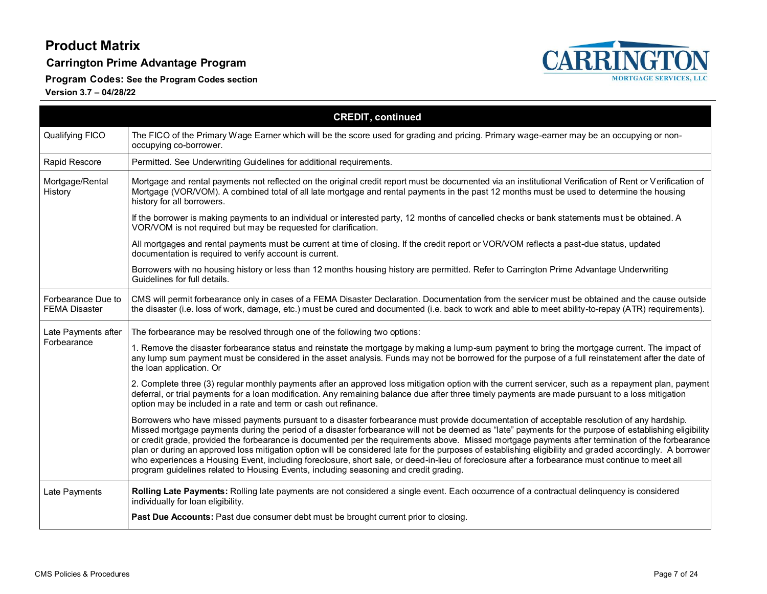#### **Carrington Prime Advantage Program**

**Program Codes: See the Program Codes section**



|                                            | <b>CREDIT, continued</b>                                                                                                                                                                                                                                                                                                                                                                                                                                                                                                                                                                                                                                                                                                                                                                                                                                            |
|--------------------------------------------|---------------------------------------------------------------------------------------------------------------------------------------------------------------------------------------------------------------------------------------------------------------------------------------------------------------------------------------------------------------------------------------------------------------------------------------------------------------------------------------------------------------------------------------------------------------------------------------------------------------------------------------------------------------------------------------------------------------------------------------------------------------------------------------------------------------------------------------------------------------------|
| Qualifying FICO                            | The FICO of the Primary Wage Earner which will be the score used for grading and pricing. Primary wage-earner may be an occupying or non-<br>occupying co-borrower.                                                                                                                                                                                                                                                                                                                                                                                                                                                                                                                                                                                                                                                                                                 |
| Rapid Rescore                              | Permitted. See Underwriting Guidelines for additional requirements.                                                                                                                                                                                                                                                                                                                                                                                                                                                                                                                                                                                                                                                                                                                                                                                                 |
| Mortgage/Rental<br>History                 | Mortgage and rental payments not reflected on the original credit report must be documented via an institutional Verification of Rent or Verification of<br>Mortgage (VOR/VOM). A combined total of all late mortgage and rental payments in the past 12 months must be used to determine the housing<br>history for all borrowers.                                                                                                                                                                                                                                                                                                                                                                                                                                                                                                                                 |
|                                            | If the borrower is making payments to an individual or interested party, 12 months of cancelled checks or bank statements must be obtained. A<br>VOR/VOM is not required but may be requested for clarification.                                                                                                                                                                                                                                                                                                                                                                                                                                                                                                                                                                                                                                                    |
|                                            | All mortgages and rental payments must be current at time of closing. If the credit report or VOR/VOM reflects a past-due status, updated<br>documentation is required to verify account is current.                                                                                                                                                                                                                                                                                                                                                                                                                                                                                                                                                                                                                                                                |
|                                            | Borrowers with no housing history or less than 12 months housing history are permitted. Refer to Carrington Prime Advantage Underwriting<br>Guidelines for full details.                                                                                                                                                                                                                                                                                                                                                                                                                                                                                                                                                                                                                                                                                            |
| Forbearance Due to<br><b>FEMA Disaster</b> | CMS will permit forbearance only in cases of a FEMA Disaster Declaration. Documentation from the servicer must be obtained and the cause outside<br>the disaster (i.e. loss of work, damage, etc.) must be cured and documented (i.e. back to work and able to meet ability-to-repay (ATR) requirements).                                                                                                                                                                                                                                                                                                                                                                                                                                                                                                                                                           |
| Late Payments after                        | The forbearance may be resolved through one of the following two options:                                                                                                                                                                                                                                                                                                                                                                                                                                                                                                                                                                                                                                                                                                                                                                                           |
| Forbearance                                | 1. Remove the disaster forbearance status and reinstate the mortgage by making a lump-sum payment to bring the mortgage current. The impact of<br>any lump sum payment must be considered in the asset analysis. Funds may not be borrowed for the purpose of a full reinstatement after the date of<br>the loan application. Or                                                                                                                                                                                                                                                                                                                                                                                                                                                                                                                                    |
|                                            | 2. Complete three (3) regular monthly payments after an approved loss mitigation option with the current servicer, such as a repayment plan, payment<br>deferral, or trial payments for a loan modification. Any remaining balance due after three timely payments are made pursuant to a loss mitigation<br>option may be included in a rate and term or cash out refinance.                                                                                                                                                                                                                                                                                                                                                                                                                                                                                       |
|                                            | Borrowers who have missed payments pursuant to a disaster forbearance must provide documentation of acceptable resolution of any hardship.<br>Missed mortgage payments during the period of a disaster forbearance will not be deemed as "late" payments for the purpose of establishing eligibility<br>or credit grade, provided the forbearance is documented per the requirements above. Missed mortgage payments after termination of the forbearance<br>plan or during an approved loss mitigation option will be considered late for the purposes of establishing eligibility and graded accordingly. A borrower<br>who experiences a Housing Event, including foreclosure, short sale, or deed-in-lieu of foreclosure after a forbearance must continue to meet all<br>program guidelines related to Housing Events, including seasoning and credit grading. |
| Late Payments                              | Rolling Late Payments: Rolling late payments are not considered a single event. Each occurrence of a contractual delinquency is considered<br>individually for loan eligibility.                                                                                                                                                                                                                                                                                                                                                                                                                                                                                                                                                                                                                                                                                    |
|                                            | Past Due Accounts: Past due consumer debt must be brought current prior to closing.                                                                                                                                                                                                                                                                                                                                                                                                                                                                                                                                                                                                                                                                                                                                                                                 |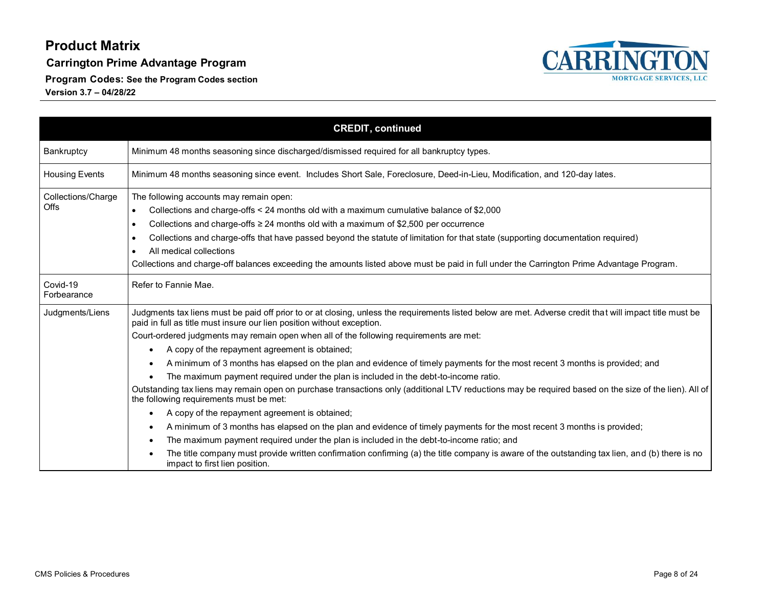**Carrington Prime Advantage Program**

**Program Codes: See the Program Codes section**



|                                   | <b>CREDIT, continued</b>                                                                                                                                                                                                                                                                                                                                                                                                                                                                                                                                                                                                                                                                                                                                                                                                                                                                                                                                                                                                                                                                                                                                                                                                                                                                                                              |
|-----------------------------------|---------------------------------------------------------------------------------------------------------------------------------------------------------------------------------------------------------------------------------------------------------------------------------------------------------------------------------------------------------------------------------------------------------------------------------------------------------------------------------------------------------------------------------------------------------------------------------------------------------------------------------------------------------------------------------------------------------------------------------------------------------------------------------------------------------------------------------------------------------------------------------------------------------------------------------------------------------------------------------------------------------------------------------------------------------------------------------------------------------------------------------------------------------------------------------------------------------------------------------------------------------------------------------------------------------------------------------------|
| Bankruptcy                        | Minimum 48 months seasoning since discharged/dismissed required for all bankruptcy types.                                                                                                                                                                                                                                                                                                                                                                                                                                                                                                                                                                                                                                                                                                                                                                                                                                                                                                                                                                                                                                                                                                                                                                                                                                             |
| <b>Housing Events</b>             | Minimum 48 months seasoning since event. Includes Short Sale, Foreclosure, Deed-in-Lieu, Modification, and 120-day lates.                                                                                                                                                                                                                                                                                                                                                                                                                                                                                                                                                                                                                                                                                                                                                                                                                                                                                                                                                                                                                                                                                                                                                                                                             |
| Collections/Charge<br><b>Offs</b> | The following accounts may remain open:<br>Collections and charge-offs < 24 months old with a maximum cumulative balance of \$2,000<br>$\bullet$<br>Collections and charge-offs $\geq$ 24 months old with a maximum of \$2,500 per occurrence<br>$\bullet$<br>Collections and charge-offs that have passed beyond the statute of limitation for that state (supporting documentation required)<br>$\bullet$<br>All medical collections<br>Collections and charge-off balances exceeding the amounts listed above must be paid in full under the Carrington Prime Advantage Program.                                                                                                                                                                                                                                                                                                                                                                                                                                                                                                                                                                                                                                                                                                                                                   |
| Covid-19<br>Forbearance           | Refer to Fannie Mae.                                                                                                                                                                                                                                                                                                                                                                                                                                                                                                                                                                                                                                                                                                                                                                                                                                                                                                                                                                                                                                                                                                                                                                                                                                                                                                                  |
| Judgments/Liens                   | Judgments tax liens must be paid off prior to or at closing, unless the requirements listed below are met. Adverse credit that will impact title must be<br>paid in full as title must insure our lien position without exception.<br>Court-ordered judgments may remain open when all of the following requirements are met:<br>A copy of the repayment agreement is obtained;<br>$\bullet$<br>A minimum of 3 months has elapsed on the plan and evidence of timely payments for the most recent 3 months is provided; and<br>٠<br>The maximum payment required under the plan is included in the debt-to-income ratio.<br>Outstanding tax liens may remain open on purchase transactions only (additional LTV reductions may be required based on the size of the lien). All of<br>the following requirements must be met:<br>A copy of the repayment agreement is obtained;<br>$\bullet$<br>A minimum of 3 months has elapsed on the plan and evidence of timely payments for the most recent 3 months is provided;<br>٠<br>The maximum payment required under the plan is included in the debt-to-income ratio; and<br>$\bullet$<br>The title company must provide written confirmation confirming (a) the title company is aware of the outstanding tax lien, and (b) there is no<br>$\bullet$<br>impact to first lien position. |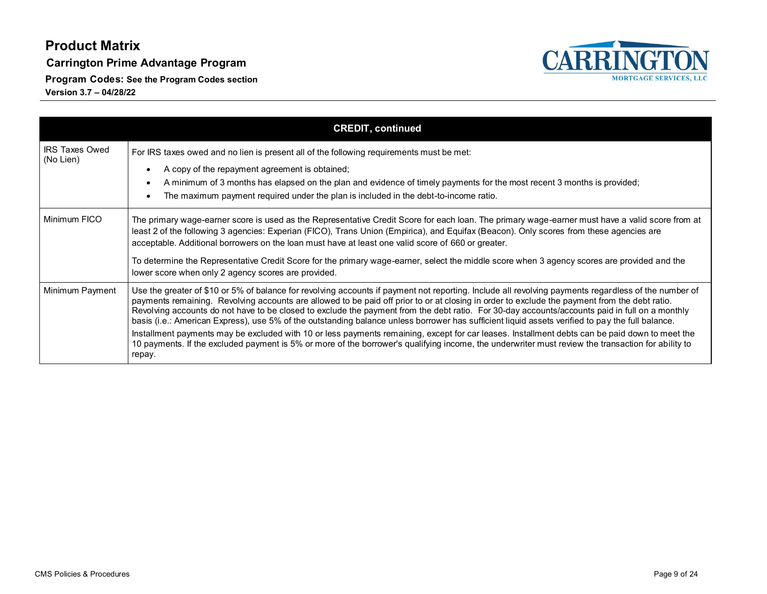**Carrington Prime Advantage Program**

**Program Codes: See the Program Codes section**



|                                    | <b>CREDIT, continued</b>                                                                                                                                                                                                                                                                                                                                                                                                                                                                                                                                                                                                                                                                                                                                                                                                                                                                                                      |
|------------------------------------|-------------------------------------------------------------------------------------------------------------------------------------------------------------------------------------------------------------------------------------------------------------------------------------------------------------------------------------------------------------------------------------------------------------------------------------------------------------------------------------------------------------------------------------------------------------------------------------------------------------------------------------------------------------------------------------------------------------------------------------------------------------------------------------------------------------------------------------------------------------------------------------------------------------------------------|
| <b>IRS Taxes Owed</b><br>(No Lien) | For IRS taxes owed and no lien is present all of the following requirements must be met:<br>A copy of the repayment agreement is obtained;<br>A minimum of 3 months has elapsed on the plan and evidence of timely payments for the most recent 3 months is provided;<br>The maximum payment required under the plan is included in the debt-to-income ratio.                                                                                                                                                                                                                                                                                                                                                                                                                                                                                                                                                                 |
| Minimum FICO                       | The primary wage-earner score is used as the Representative Credit Score for each loan. The primary wage-earner must have a valid score from at<br>least 2 of the following 3 agencies: Experian (FICO), Trans Union (Empirica), and Equifax (Beacon). Only scores from these agencies are<br>acceptable. Additional borrowers on the loan must have at least one valid score of 660 or greater.<br>To determine the Representative Credit Score for the primary wage-earner, select the middle score when 3 agency scores are provided and the<br>lower score when only 2 agency scores are provided.                                                                                                                                                                                                                                                                                                                        |
| Minimum Payment                    | Use the greater of \$10 or 5% of balance for revolving accounts if payment not reporting. Include all revolving payments regardless of the number of<br>payments remaining. Revolving accounts are allowed to be paid off prior to or at closing in order to exclude the payment from the debt ratio.<br>Revolving accounts do not have to be closed to exclude the payment from the debt ratio. For 30-day accounts/accounts paid in full on a monthly<br>basis (i.e.: American Express), use 5% of the outstanding balance unless borrower has sufficient liquid assets verified to pay the full balance.<br>Installment payments may be excluded with 10 or less payments remaining, except for car leases. Installment debts can be paid down to meet the<br>10 payments. If the excluded payment is 5% or more of the borrower's qualifying income, the underwriter must review the transaction for ability to<br>repay. |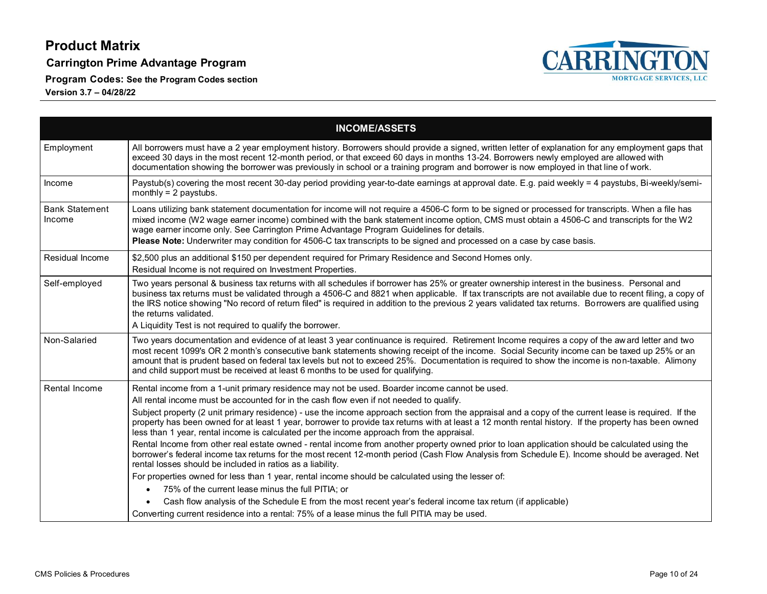**Carrington Prime Advantage Program**

**Program Codes: See the Program Codes section**



|                                 | <b>INCOME/ASSETS</b>                                                                                                                                                                                                                                                                                                                                                                                                                                                                                                               |
|---------------------------------|------------------------------------------------------------------------------------------------------------------------------------------------------------------------------------------------------------------------------------------------------------------------------------------------------------------------------------------------------------------------------------------------------------------------------------------------------------------------------------------------------------------------------------|
| Employment                      | All borrowers must have a 2 year employment history. Borrowers should provide a signed, written letter of explanation for any employment gaps that<br>exceed 30 days in the most recent 12-month period, or that exceed 60 days in months 13-24. Borrowers newly employed are allowed with<br>documentation showing the borrower was previously in school or a training program and borrower is now employed in that line of work.                                                                                                 |
| Income                          | Paystub(s) covering the most recent 30-day period providing year-to-date earnings at approval date. E.g. paid weekly = 4 paystubs, Bi-weekly/semi-<br>monthly = $2$ paystubs.                                                                                                                                                                                                                                                                                                                                                      |
| <b>Bank Statement</b><br>Income | Loans utilizing bank statement documentation for income will not require a 4506-C form to be signed or processed for transcripts. When a file has<br>mixed income (W2 wage earner income) combined with the bank statement income option, CMS must obtain a 4506-C and transcripts for the W2<br>wage earner income only. See Carrington Prime Advantage Program Guidelines for details.<br>Please Note: Underwriter may condition for 4506-C tax transcripts to be signed and processed on a case by case basis.                  |
| Residual Income                 | \$2,500 plus an additional \$150 per dependent required for Primary Residence and Second Homes only.<br>Residual Income is not required on Investment Properties.                                                                                                                                                                                                                                                                                                                                                                  |
| Self-employed                   | Two years personal & business tax returns with all schedules if borrower has 25% or greater ownership interest in the business. Personal and<br>business tax returns must be validated through a 4506-C and 8821 when applicable. If tax transcripts are not available due to recent filing, a copy of<br>the IRS notice showing "No record of return filed" is required in addition to the previous 2 years validated tax returns. Borrowers are qualified using<br>the returns validated.                                        |
|                                 | A Liquidity Test is not required to qualify the borrower.                                                                                                                                                                                                                                                                                                                                                                                                                                                                          |
| Non-Salaried                    | Two years documentation and evidence of at least 3 year continuance is required. Retirement Income requires a copy of the award letter and two<br>most recent 1099's OR 2 month's consecutive bank statements showing receipt of the income. Social Security income can be taxed up 25% or an<br>amount that is prudent based on federal tax levels but not to exceed 25%. Documentation is required to show the income is non-taxable. Alimony<br>and child support must be received at least 6 months to be used for qualifying. |
| <b>Rental Income</b>            | Rental income from a 1-unit primary residence may not be used. Boarder income cannot be used.<br>All rental income must be accounted for in the cash flow even if not needed to qualify.                                                                                                                                                                                                                                                                                                                                           |
|                                 | Subject property (2 unit primary residence) - use the income approach section from the appraisal and a copy of the current lease is required. If the<br>property has been owned for at least 1 year, borrower to provide tax returns with at least a 12 month rental history. If the property has been owned<br>less than 1 year, rental income is calculated per the income approach from the appraisal.                                                                                                                          |
|                                 | Rental Income from other real estate owned - rental income from another property owned prior to loan application should be calculated using the<br>borrower's federal income tax returns for the most recent 12-month period (Cash Flow Analysis from Schedule E). Income should be averaged. Net<br>rental losses should be included in ratios as a liability.                                                                                                                                                                    |
|                                 | For properties owned for less than 1 year, rental income should be calculated using the lesser of:                                                                                                                                                                                                                                                                                                                                                                                                                                 |
|                                 | 75% of the current lease minus the full PITIA; or                                                                                                                                                                                                                                                                                                                                                                                                                                                                                  |
|                                 | Cash flow analysis of the Schedule E from the most recent year's federal income tax return (if applicable)                                                                                                                                                                                                                                                                                                                                                                                                                         |
|                                 | Converting current residence into a rental: 75% of a lease minus the full PITIA may be used.                                                                                                                                                                                                                                                                                                                                                                                                                                       |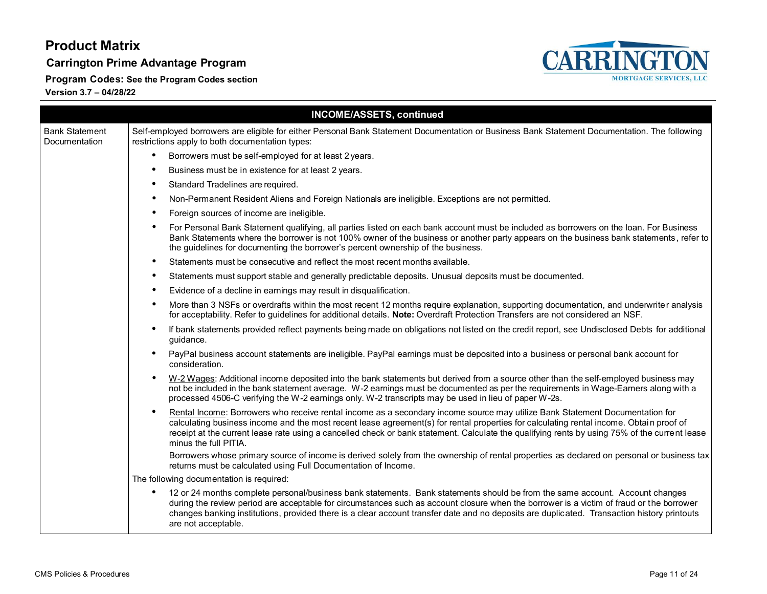**Carrington Prime Advantage Program**

**Program Codes: See the Program Codes section**



|                                        | <b>INCOME/ASSETS, continued</b>                                                                                                                                                                                                                                                                                                                                                                                                                                |
|----------------------------------------|----------------------------------------------------------------------------------------------------------------------------------------------------------------------------------------------------------------------------------------------------------------------------------------------------------------------------------------------------------------------------------------------------------------------------------------------------------------|
| <b>Bank Statement</b><br>Documentation | Self-employed borrowers are eligible for either Personal Bank Statement Documentation or Business Bank Statement Documentation. The following<br>restrictions apply to both documentation types:                                                                                                                                                                                                                                                               |
|                                        | Borrowers must be self-employed for at least 2 years.                                                                                                                                                                                                                                                                                                                                                                                                          |
|                                        | Business must be in existence for at least 2 years.                                                                                                                                                                                                                                                                                                                                                                                                            |
|                                        | Standard Tradelines are required.<br>$\bullet$                                                                                                                                                                                                                                                                                                                                                                                                                 |
|                                        | Non-Permanent Resident Aliens and Foreign Nationals are ineligible. Exceptions are not permitted.                                                                                                                                                                                                                                                                                                                                                              |
|                                        | Foreign sources of income are ineligible.                                                                                                                                                                                                                                                                                                                                                                                                                      |
|                                        | For Personal Bank Statement qualifying, all parties listed on each bank account must be included as borrowers on the loan. For Business<br>$\bullet$<br>Bank Statements where the borrower is not 100% owner of the business or another party appears on the business bank statements, refer to<br>the guidelines for documenting the borrower's percent ownership of the business.                                                                            |
|                                        | Statements must be consecutive and reflect the most recent months available.<br>$\bullet$                                                                                                                                                                                                                                                                                                                                                                      |
|                                        | Statements must support stable and generally predictable deposits. Unusual deposits must be documented.<br>$\bullet$                                                                                                                                                                                                                                                                                                                                           |
|                                        | Evidence of a decline in earnings may result in disqualification.                                                                                                                                                                                                                                                                                                                                                                                              |
|                                        | More than 3 NSFs or overdrafts within the most recent 12 months require explanation, supporting documentation, and underwriter analysis<br>for acceptability. Refer to guidelines for additional details. Note: Overdraft Protection Transfers are not considered an NSF.                                                                                                                                                                                      |
|                                        | If bank statements provided reflect payments being made on obligations not listed on the credit report, see Undisclosed Debts for additional<br>guidance.                                                                                                                                                                                                                                                                                                      |
|                                        | PayPal business account statements are ineligible. PayPal earnings must be deposited into a business or personal bank account for<br>consideration.                                                                                                                                                                                                                                                                                                            |
|                                        | W-2 Wages: Additional income deposited into the bank statements but derived from a source other than the self-employed business may<br>$\bullet$<br>not be included in the bank statement average. W-2 earnings must be documented as per the requirements in Wage-Earners along with a<br>processed 4506-C verifying the W-2 earnings only. W-2 transcripts may be used in lieu of paper W-2s.                                                                |
|                                        | Rental Income: Borrowers who receive rental income as a secondary income source may utilize Bank Statement Documentation for<br>$\bullet$<br>calculating business income and the most recent lease agreement(s) for rental properties for calculating rental income. Obtain proof of<br>receipt at the current lease rate using a cancelled check or bank statement. Calculate the qualifying rents by using 75% of the current lease<br>minus the full PITIA. |
|                                        | Borrowers whose primary source of income is derived solely from the ownership of rental properties as declared on personal or business tax<br>returns must be calculated using Full Documentation of Income.                                                                                                                                                                                                                                                   |
|                                        | The following documentation is required:                                                                                                                                                                                                                                                                                                                                                                                                                       |
|                                        | 12 or 24 months complete personal/business bank statements. Bank statements should be from the same account. Account changes<br>٠<br>during the review period are acceptable for circumstances such as account closure when the borrower is a victim of fraud or the borrower<br>changes banking institutions, provided there is a clear account transfer date and no deposits are duplicated. Transaction history printouts<br>are not acceptable.            |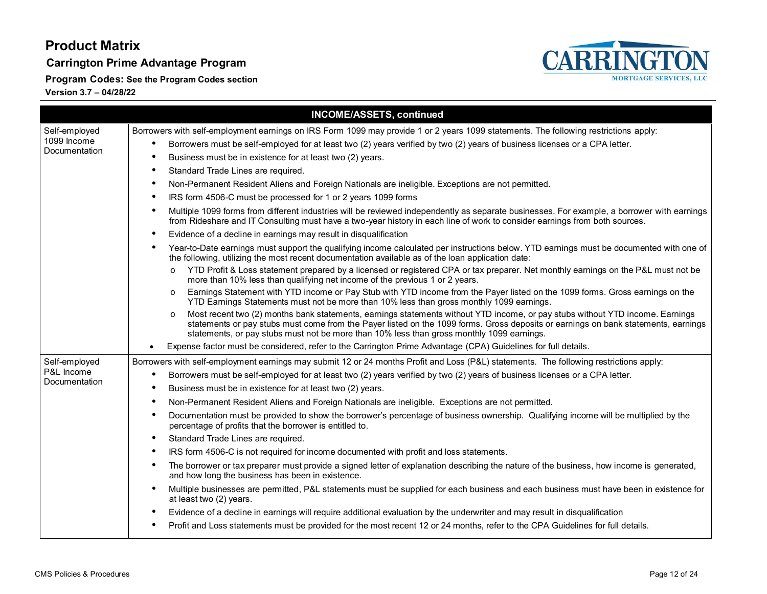**Carrington Prime Advantage Program**

**Program Codes: See the Program Codes section**



|               | <b>INCOME/ASSETS, continued</b>                                                                                                                                                                                                                                                                                                                                             |
|---------------|-----------------------------------------------------------------------------------------------------------------------------------------------------------------------------------------------------------------------------------------------------------------------------------------------------------------------------------------------------------------------------|
| Self-employed | Borrowers with self-employment earnings on IRS Form 1099 may provide 1 or 2 years 1099 statements. The following restrictions apply:                                                                                                                                                                                                                                        |
| 1099 Income   | Borrowers must be self-employed for at least two (2) years verified by two (2) years of business licenses or a CPA letter.<br>$\bullet$                                                                                                                                                                                                                                     |
| Documentation | Business must be in existence for at least two (2) years.<br>$\bullet$                                                                                                                                                                                                                                                                                                      |
|               | Standard Trade Lines are required.<br>٠                                                                                                                                                                                                                                                                                                                                     |
|               | Non-Permanent Resident Aliens and Foreign Nationals are ineligible. Exceptions are not permitted.<br>٠                                                                                                                                                                                                                                                                      |
|               | IRS form 4506-C must be processed for 1 or 2 years 1099 forms<br>$\bullet$                                                                                                                                                                                                                                                                                                  |
|               | Multiple 1099 forms from different industries will be reviewed independently as separate businesses. For example, a borrower with earnings<br>٠<br>from Rideshare and IT Consulting must have a two-year history in each line of work to consider earnings from both sources.                                                                                               |
|               | Evidence of a decline in earnings may result in disqualification<br>٠                                                                                                                                                                                                                                                                                                       |
|               | Year-to-Date earnings must support the qualifying income calculated per instructions below. YTD earnings must be documented with one of<br>$\bullet$<br>the following, utilizing the most recent documentation available as of the loan application date:                                                                                                                   |
|               | YTD Profit & Loss statement prepared by a licensed or registered CPA or tax preparer. Net monthly earnings on the P&L must not be<br>$\circ$<br>more than 10% less than qualifying net income of the previous 1 or 2 years.                                                                                                                                                 |
|               | Earnings Statement with YTD income or Pay Stub with YTD income from the Payer listed on the 1099 forms. Gross earnings on the<br>$\circ$<br>YTD Earnings Statements must not be more than 10% less than gross monthly 1099 earnings.                                                                                                                                        |
|               | Most recent two (2) months bank statements, earnings statements without YTD income, or pay stubs without YTD income. Earnings<br>$\circ$<br>statements or pay stubs must come from the Payer listed on the 1099 forms. Gross deposits or earnings on bank statements, earnings<br>statements, or pay stubs must not be more than 10% less than gross monthly 1099 earnings. |
|               | Expense factor must be considered, refer to the Carrington Prime Advantage (CPA) Guidelines for full details.                                                                                                                                                                                                                                                               |
| Self-employed | Borrowers with self-employment earnings may submit 12 or 24 months Profit and Loss (P&L) statements. The following restrictions apply:                                                                                                                                                                                                                                      |
| P&L Income    | Borrowers must be self-employed for at least two (2) years verified by two (2) years of business licenses or a CPA letter.<br>$\bullet$                                                                                                                                                                                                                                     |
| Documentation | Business must be in existence for at least two (2) years.<br>٠                                                                                                                                                                                                                                                                                                              |
|               | Non-Permanent Resident Aliens and Foreign Nationals are ineligible. Exceptions are not permitted.<br>٠                                                                                                                                                                                                                                                                      |
|               | Documentation must be provided to show the borrower's percentage of business ownership. Qualifying income will be multiplied by the<br>$\bullet$<br>percentage of profits that the borrower is entitled to.                                                                                                                                                                 |
|               | Standard Trade Lines are required.<br>$\bullet$                                                                                                                                                                                                                                                                                                                             |
|               | IRS form 4506-C is not required for income documented with profit and loss statements.<br>$\bullet$                                                                                                                                                                                                                                                                         |
|               | The borrower or tax preparer must provide a signed letter of explanation describing the nature of the business, how income is generated,<br>٠<br>and how long the business has been in existence.                                                                                                                                                                           |
|               | Multiple businesses are permitted, P&L statements must be supplied for each business and each business must have been in existence for<br>$\bullet$<br>at least two (2) years.                                                                                                                                                                                              |
|               | Evidence of a decline in earnings will require additional evaluation by the underwriter and may result in disqualification                                                                                                                                                                                                                                                  |
|               | Profit and Loss statements must be provided for the most recent 12 or 24 months, refer to the CPA Guidelines for full details.<br>٠                                                                                                                                                                                                                                         |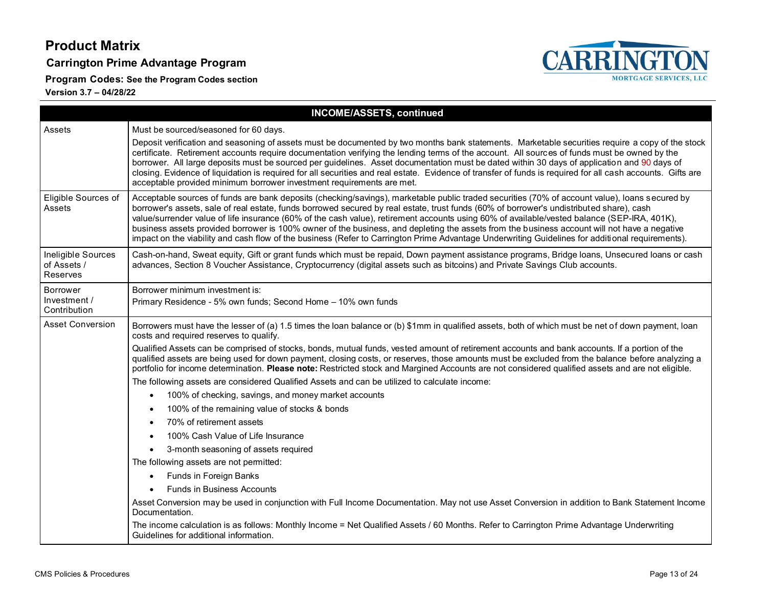**Carrington Prime Advantage Program**

**Program Codes: See the Program Codes section**



|                                                      | <b>INCOME/ASSETS, continued</b>                                                                                                                                                                                                                                                                                                                                                                                                                                                                                                                                                                                                                                                                                                               |
|------------------------------------------------------|-----------------------------------------------------------------------------------------------------------------------------------------------------------------------------------------------------------------------------------------------------------------------------------------------------------------------------------------------------------------------------------------------------------------------------------------------------------------------------------------------------------------------------------------------------------------------------------------------------------------------------------------------------------------------------------------------------------------------------------------------|
| Assets                                               | Must be sourced/seasoned for 60 days.                                                                                                                                                                                                                                                                                                                                                                                                                                                                                                                                                                                                                                                                                                         |
|                                                      | Deposit verification and seasoning of assets must be documented by two months bank statements. Marketable securities require a copy of the stock<br>certificate. Retirement accounts require documentation verifying the lending terms of the account. All sources of funds must be owned by the<br>borrower. All large deposits must be sourced per guidelines. Asset documentation must be dated within 30 days of application and 90 days of<br>closing. Evidence of liquidation is required for all securities and real estate. Evidence of transfer of funds is required for all cash accounts. Gifts are<br>acceptable provided minimum borrower investment requirements are met.                                                       |
| Eligible Sources of<br>Assets                        | Acceptable sources of funds are bank deposits (checking/savings), marketable public traded securities (70% of account value), loans secured by<br>borrower's assets, sale of real estate, funds borrowed secured by real estate, trust funds (60% of borrower's undistributed share), cash<br>value/surrender value of life insurance (60% of the cash value), retirement accounts using 60% of available/vested balance (SEP-IRA, 401K),<br>business assets provided borrower is 100% owner of the business, and depleting the assets from the business account will not have a negative<br>impact on the viability and cash flow of the business (Refer to Carrington Prime Advantage Underwriting Guidelines for additional requirements). |
| Ineligible Sources<br>of Assets /<br><b>Reserves</b> | Cash-on-hand, Sweat equity, Gift or grant funds which must be repaid, Down payment assistance programs, Bridge loans, Unsecured loans or cash<br>advances, Section 8 Voucher Assistance, Cryptocurrency (digital assets such as bitcoins) and Private Savings Club accounts.                                                                                                                                                                                                                                                                                                                                                                                                                                                                  |
| <b>Borrower</b>                                      | Borrower minimum investment is:                                                                                                                                                                                                                                                                                                                                                                                                                                                                                                                                                                                                                                                                                                               |
| Investment /<br>Contribution                         | Primary Residence - 5% own funds; Second Home - 10% own funds                                                                                                                                                                                                                                                                                                                                                                                                                                                                                                                                                                                                                                                                                 |
| <b>Asset Conversion</b>                              | Borrowers must have the lesser of (a) 1.5 times the loan balance or (b) \$1mm in qualified assets, both of which must be net of down payment, loan<br>costs and required reserves to qualify.                                                                                                                                                                                                                                                                                                                                                                                                                                                                                                                                                 |
|                                                      | Qualified Assets can be comprised of stocks, bonds, mutual funds, vested amount of retirement accounts and bank accounts. If a portion of the<br>qualified assets are being used for down payment, closing costs, or reserves, those amounts must be excluded from the balance before analyzing a<br>portfolio for income determination. Please note: Restricted stock and Margined Accounts are not considered qualified assets and are not eligible.                                                                                                                                                                                                                                                                                        |
|                                                      | The following assets are considered Qualified Assets and can be utilized to calculate income:                                                                                                                                                                                                                                                                                                                                                                                                                                                                                                                                                                                                                                                 |
|                                                      | 100% of checking, savings, and money market accounts<br>$\bullet$                                                                                                                                                                                                                                                                                                                                                                                                                                                                                                                                                                                                                                                                             |
|                                                      | 100% of the remaining value of stocks & bonds                                                                                                                                                                                                                                                                                                                                                                                                                                                                                                                                                                                                                                                                                                 |
|                                                      | 70% of retirement assets                                                                                                                                                                                                                                                                                                                                                                                                                                                                                                                                                                                                                                                                                                                      |
|                                                      | 100% Cash Value of Life Insurance                                                                                                                                                                                                                                                                                                                                                                                                                                                                                                                                                                                                                                                                                                             |
|                                                      | 3-month seasoning of assets required<br>$\bullet$                                                                                                                                                                                                                                                                                                                                                                                                                                                                                                                                                                                                                                                                                             |
|                                                      | The following assets are not permitted:                                                                                                                                                                                                                                                                                                                                                                                                                                                                                                                                                                                                                                                                                                       |
|                                                      | Funds in Foreign Banks                                                                                                                                                                                                                                                                                                                                                                                                                                                                                                                                                                                                                                                                                                                        |
|                                                      | <b>Funds in Business Accounts</b>                                                                                                                                                                                                                                                                                                                                                                                                                                                                                                                                                                                                                                                                                                             |
|                                                      | Asset Conversion may be used in conjunction with Full Income Documentation. May not use Asset Conversion in addition to Bank Statement Income<br>Documentation.                                                                                                                                                                                                                                                                                                                                                                                                                                                                                                                                                                               |
|                                                      | The income calculation is as follows: Monthly Income = Net Qualified Assets / 60 Months. Refer to Carrington Prime Advantage Underwriting<br>Guidelines for additional information.                                                                                                                                                                                                                                                                                                                                                                                                                                                                                                                                                           |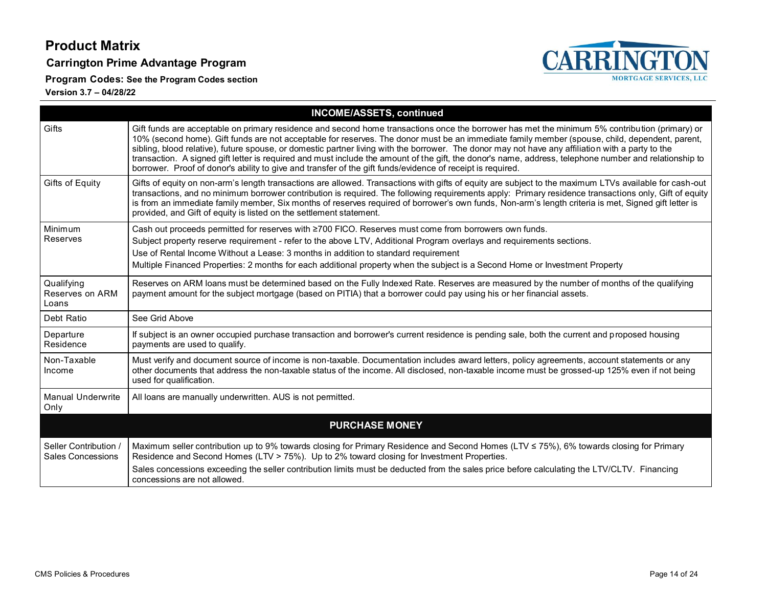**Carrington Prime Advantage Program**

**Program Codes: See the Program Codes section**



| <b>INCOME/ASSETS, continued</b>                   |                                                                                                                                                                                                                                                                                                                                                                                                                                                                                                                                                                                                                                                                                                                               |  |
|---------------------------------------------------|-------------------------------------------------------------------------------------------------------------------------------------------------------------------------------------------------------------------------------------------------------------------------------------------------------------------------------------------------------------------------------------------------------------------------------------------------------------------------------------------------------------------------------------------------------------------------------------------------------------------------------------------------------------------------------------------------------------------------------|--|
| Gifts                                             | Gift funds are acceptable on primary residence and second home transactions once the borrower has met the minimum 5% contribution (primary) or<br>10% (second home). Gift funds are not acceptable for reserves. The donor must be an immediate family member (spouse, child, dependent, parent,<br>sibling, blood relative), future spouse, or domestic partner living with the borrower. The donor may not have any affiliation with a party to the<br>transaction. A signed gift letter is required and must include the amount of the gift, the donor's name, address, telephone number and relationship to<br>borrower. Proof of donor's ability to give and transfer of the gift funds/evidence of receipt is required. |  |
| Gifts of Equity                                   | Gifts of equity on non-arm's length transactions are allowed. Transactions with gifts of equity are subject to the maximum LTVs available for cash-out<br>transactions, and no minimum borrower contribution is required. The following requirements apply: Primary residence transactions only, Gift of equity<br>is from an immediate family member, Six months of reserves required of borrower's own funds, Non-arm's length criteria is met, Signed gift letter is<br>provided, and Gift of equity is listed on the settlement statement.                                                                                                                                                                                |  |
| Minimum<br>Reserves                               | Cash out proceeds permitted for reserves with ≥700 FICO. Reserves must come from borrowers own funds.<br>Subject property reserve requirement - refer to the above LTV, Additional Program overlays and requirements sections.<br>Use of Rental Income Without a Lease: 3 months in addition to standard requirement<br>Multiple Financed Properties: 2 months for each additional property when the subject is a Second Home or Investment Property                                                                                                                                                                                                                                                                          |  |
| Qualifying<br>Reserves on ARM<br>Loans            | Reserves on ARM loans must be determined based on the Fully Indexed Rate. Reserves are measured by the number of months of the qualifying<br>payment amount for the subject mortgage (based on PITIA) that a borrower could pay using his or her financial assets.                                                                                                                                                                                                                                                                                                                                                                                                                                                            |  |
| Debt Ratio                                        | See Grid Above                                                                                                                                                                                                                                                                                                                                                                                                                                                                                                                                                                                                                                                                                                                |  |
| Departure<br>Residence                            | If subject is an owner occupied purchase transaction and borrower's current residence is pending sale, both the current and proposed housing<br>payments are used to qualify.                                                                                                                                                                                                                                                                                                                                                                                                                                                                                                                                                 |  |
| Non-Taxable<br>Income                             | Must verify and document source of income is non-taxable. Documentation includes award letters, policy agreements, account statements or any<br>other documents that address the non-taxable status of the income. All disclosed, non-taxable income must be grossed-up 125% even if not being<br>used for qualification.                                                                                                                                                                                                                                                                                                                                                                                                     |  |
| Manual Underwrite<br>Only                         | All loans are manually underwritten. AUS is not permitted.                                                                                                                                                                                                                                                                                                                                                                                                                                                                                                                                                                                                                                                                    |  |
|                                                   | <b>PURCHASE MONEY</b>                                                                                                                                                                                                                                                                                                                                                                                                                                                                                                                                                                                                                                                                                                         |  |
| Seller Contribution /<br><b>Sales Concessions</b> | Maximum seller contribution up to 9% towards closing for Primary Residence and Second Homes (LTV ≤ 75%), 6% towards closing for Primary<br>Residence and Second Homes (LTV > 75%). Up to 2% toward closing for Investment Properties.                                                                                                                                                                                                                                                                                                                                                                                                                                                                                         |  |
|                                                   | Sales concessions exceeding the seller contribution limits must be deducted from the sales price before calculating the LTV/CLTV. Financing<br>concessions are not allowed.                                                                                                                                                                                                                                                                                                                                                                                                                                                                                                                                                   |  |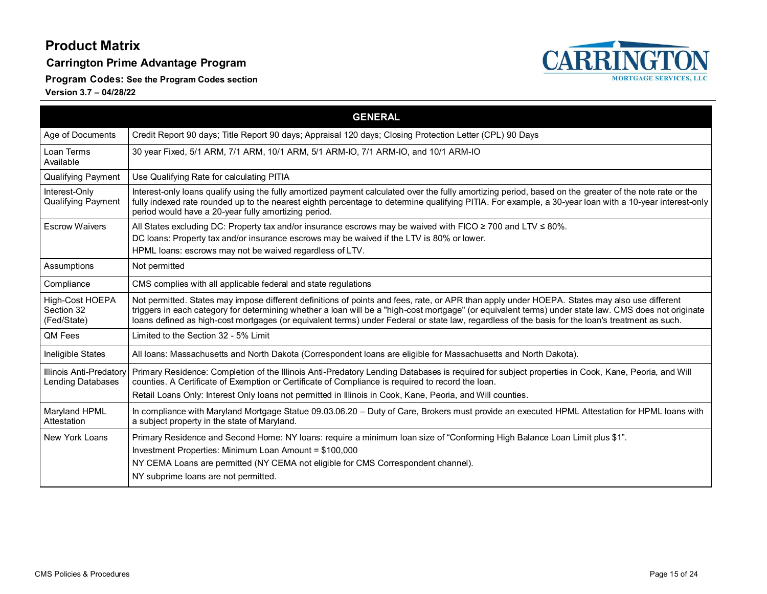**Carrington Prime Advantage Program**

**Program Codes: See the Program Codes section**



<span id="page-14-0"></span>

|                                              | <b>GENERAL</b>                                                                                                                                                                                                                                                                                                                                                                                                                                             |
|----------------------------------------------|------------------------------------------------------------------------------------------------------------------------------------------------------------------------------------------------------------------------------------------------------------------------------------------------------------------------------------------------------------------------------------------------------------------------------------------------------------|
| Age of Documents                             | Credit Report 90 days; Title Report 90 days; Appraisal 120 days; Closing Protection Letter (CPL) 90 Days                                                                                                                                                                                                                                                                                                                                                   |
| Loan Terms<br>Available                      | 30 year Fixed, 5/1 ARM, 7/1 ARM, 10/1 ARM, 5/1 ARM-IO, 7/1 ARM-IO, and 10/1 ARM-IO                                                                                                                                                                                                                                                                                                                                                                         |
| <b>Qualifying Payment</b>                    | Use Qualifying Rate for calculating PITIA                                                                                                                                                                                                                                                                                                                                                                                                                  |
| Interest-Only<br><b>Qualifying Payment</b>   | Interest-only loans qualify using the fully amortized payment calculated over the fully amortizing period, based on the greater of the note rate or the<br>fully indexed rate rounded up to the nearest eighth percentage to determine qualifying PITIA. For example, a 30-year loan with a 10-year interest-only<br>period would have a 20-year fully amortizing period.                                                                                  |
| <b>Escrow Waivers</b>                        | All States excluding DC: Property tax and/or insurance escrows may be waived with FICO $\geq$ 700 and LTV $\leq$ 80%.<br>DC loans: Property tax and/or insurance escrows may be waived if the LTV is 80% or lower.<br>HPML loans: escrows may not be waived regardless of LTV.                                                                                                                                                                             |
| Assumptions                                  | Not permitted                                                                                                                                                                                                                                                                                                                                                                                                                                              |
| Compliance                                   | CMS complies with all applicable federal and state regulations                                                                                                                                                                                                                                                                                                                                                                                             |
| High-Cost HOEPA<br>Section 32<br>(Fed/State) | Not permitted. States may impose different definitions of points and fees, rate, or APR than apply under HOEPA. States may also use different<br>triggers in each category for determining whether a loan will be a "high-cost mortgage" (or equivalent terms) under state law. CMS does not originate<br>loans defined as high-cost mortgages (or equivalent terms) under Federal or state law, regardless of the basis for the loan's treatment as such. |
| QM Fees                                      | Limited to the Section 32 - 5% Limit                                                                                                                                                                                                                                                                                                                                                                                                                       |
| Ineligible States                            | All loans: Massachusetts and North Dakota (Correspondent loans are eligible for Massachusetts and North Dakota).                                                                                                                                                                                                                                                                                                                                           |
| Illinois Anti-Predatory<br>Lending Databases | Primary Residence: Completion of the Illinois Anti-Predatory Lending Databases is required for subject properties in Cook, Kane, Peoria, and Will<br>counties. A Certificate of Exemption or Certificate of Compliance is required to record the loan.                                                                                                                                                                                                     |
|                                              | Retail Loans Only: Interest Only loans not permitted in Illinois in Cook, Kane, Peoria, and Will counties.                                                                                                                                                                                                                                                                                                                                                 |
| Maryland HPML<br>Attestation                 | In compliance with Maryland Mortgage Statue 09.03.06.20 - Duty of Care, Brokers must provide an executed HPML Attestation for HPML loans with<br>a subject property in the state of Maryland.                                                                                                                                                                                                                                                              |
| New York Loans                               | Primary Residence and Second Home: NY Ioans: require a minimum Ioan size of "Conforming High Balance Loan Limit plus \$1".<br>Investment Properties: Minimum Loan Amount = \$100,000<br>NY CEMA Loans are permitted (NY CEMA not eligible for CMS Correspondent channel).<br>NY subprime loans are not permitted.                                                                                                                                          |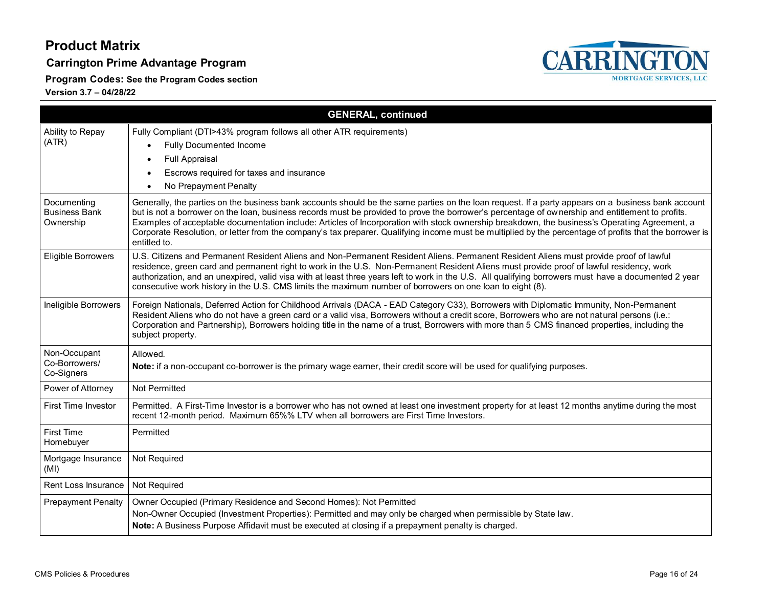#### **Carrington Prime Advantage Program**

**Program Codes: See the Program Codes section**



|                                                  | <b>GENERAL, continued</b>                                                                                                                                                                                                                                                                                                                                                                                                                                                                                                                                                                                                          |
|--------------------------------------------------|------------------------------------------------------------------------------------------------------------------------------------------------------------------------------------------------------------------------------------------------------------------------------------------------------------------------------------------------------------------------------------------------------------------------------------------------------------------------------------------------------------------------------------------------------------------------------------------------------------------------------------|
| Ability to Repay<br>(ATR)                        | Fully Compliant (DTI>43% program follows all other ATR requirements)<br><b>Fully Documented Income</b><br>$\bullet$<br><b>Full Appraisal</b><br>Escrows required for taxes and insurance<br>No Prepayment Penalty<br>$\bullet$                                                                                                                                                                                                                                                                                                                                                                                                     |
| Documenting<br><b>Business Bank</b><br>Ownership | Generally, the parties on the business bank accounts should be the same parties on the loan request. If a party appears on a business bank account<br>but is not a borrower on the loan, business records must be provided to prove the borrower's percentage of ownership and entitlement to profits.<br>Examples of acceptable documentation include: Articles of Incorporation with stock ownership breakdown, the business's Operating Agreement, a<br>Corporate Resolution, or letter from the company's tax preparer. Qualifying income must be multiplied by the percentage of profits that the borrower is<br>entitled to. |
| Eligible Borrowers                               | U.S. Citizens and Permanent Resident Aliens and Non-Permanent Resident Aliens. Permanent Resident Aliens must provide proof of lawful<br>residence, green card and permanent right to work in the U.S. Non-Permanent Resident Aliens must provide proof of lawful residency, work<br>authorization, and an unexpired, valid visa with at least three years left to work in the U.S. All qualifying borrowers must have a documented 2 year<br>consecutive work history in the U.S. CMS limits the maximum number of borrowers on one loan to eight (8).                                                                            |
| Ineligible Borrowers                             | Foreign Nationals, Deferred Action for Childhood Arrivals (DACA - EAD Category C33), Borrowers with Diplomatic Immunity, Non-Permanent<br>Resident Aliens who do not have a green card or a valid visa, Borrowers without a credit score, Borrowers who are not natural persons (i.e.:<br>Corporation and Partnership), Borrowers holding title in the name of a trust, Borrowers with more than 5 CMS financed properties, including the<br>subject property.                                                                                                                                                                     |
| Non-Occupant<br>Co-Borrowers/<br>Co-Signers      | Allowed.<br>Note: if a non-occupant co-borrower is the primary wage earner, their credit score will be used for qualifying purposes.                                                                                                                                                                                                                                                                                                                                                                                                                                                                                               |
| Power of Attorney                                | Not Permitted                                                                                                                                                                                                                                                                                                                                                                                                                                                                                                                                                                                                                      |
| <b>First Time Investor</b>                       | Permitted. A First-Time Investor is a borrower who has not owned at least one investment property for at least 12 months anytime during the most<br>recent 12-month period. Maximum 65%% LTV when all borrowers are First Time Investors.                                                                                                                                                                                                                                                                                                                                                                                          |
| <b>First Time</b><br>Homebuyer                   | Permitted                                                                                                                                                                                                                                                                                                                                                                                                                                                                                                                                                                                                                          |
| Mortgage Insurance<br>(MI)                       | Not Required                                                                                                                                                                                                                                                                                                                                                                                                                                                                                                                                                                                                                       |
| Rent Loss Insurance                              | Not Required                                                                                                                                                                                                                                                                                                                                                                                                                                                                                                                                                                                                                       |
| <b>Prepayment Penalty</b>                        | Owner Occupied (Primary Residence and Second Homes): Not Permitted<br>Non-Owner Occupied (Investment Properties): Permitted and may only be charged when permissible by State law.<br>Note: A Business Purpose Affidavit must be executed at closing if a prepayment penalty is charged.                                                                                                                                                                                                                                                                                                                                           |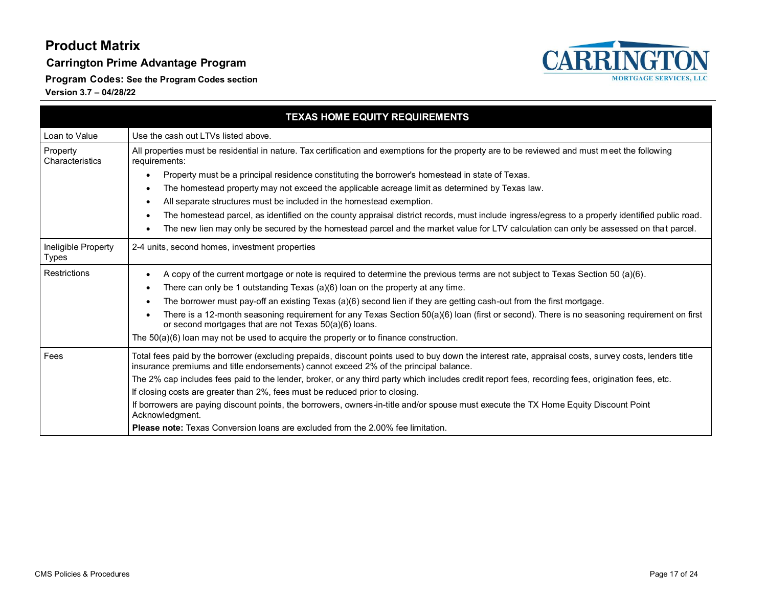**Carrington Prime Advantage Program**

**CARRINGTON MORTGAGE SERVICES, LLC** 

**Program Codes: See the Program Codes section**

| <b>TEXAS HOME EQUITY REQUIREMENTS</b> |                                                                                                                                                                                                                                                |  |
|---------------------------------------|------------------------------------------------------------------------------------------------------------------------------------------------------------------------------------------------------------------------------------------------|--|
| Loan to Value                         | Use the cash out LTVs listed above.                                                                                                                                                                                                            |  |
| Property<br>Characteristics           | All properties must be residential in nature. Tax certification and exemptions for the property are to be reviewed and must meet the following<br>requirements:                                                                                |  |
|                                       | Property must be a principal residence constituting the borrower's homestead in state of Texas.<br>$\bullet$                                                                                                                                   |  |
|                                       | The homestead property may not exceed the applicable acreage limit as determined by Texas law.<br>٠                                                                                                                                            |  |
|                                       | All separate structures must be included in the homestead exemption.<br>٠                                                                                                                                                                      |  |
|                                       | The homestead parcel, as identified on the county appraisal district records, must include ingress/egress to a properly identified public road.<br>$\bullet$                                                                                   |  |
|                                       | The new lien may only be secured by the homestead parcel and the market value for LTV calculation can only be assessed on that parcel.<br>$\bullet$                                                                                            |  |
| Ineligible Property<br><b>Types</b>   | 2-4 units, second homes, investment properties                                                                                                                                                                                                 |  |
| Restrictions                          | A copy of the current mortgage or note is required to determine the previous terms are not subject to Texas Section 50 (a)(6).<br>٠                                                                                                            |  |
|                                       | There can only be 1 outstanding Texas (a)(6) loan on the property at any time.<br>٠                                                                                                                                                            |  |
|                                       | The borrower must pay-off an existing Texas (a)(6) second lien if they are getting cash-out from the first mortgage.<br>$\bullet$                                                                                                              |  |
|                                       | There is a 12-month seasoning requirement for any Texas Section 50(a)(6) loan (first or second). There is no seasoning requirement on first<br>$\bullet$<br>or second mortgages that are not Texas 50(a)(6) loans.                             |  |
|                                       | The $50(a)(6)$ loan may not be used to acquire the property or to finance construction.                                                                                                                                                        |  |
| Fees                                  | Total fees paid by the borrower (excluding prepaids, discount points used to buy down the interest rate, appraisal costs, survey costs, lenders title<br>insurance premiums and title endorsements) cannot exceed 2% of the principal balance. |  |
|                                       | The 2% cap includes fees paid to the lender, broker, or any third party which includes credit report fees, recording fees, origination fees, etc.                                                                                              |  |
|                                       | If closing costs are greater than 2%, fees must be reduced prior to closing.                                                                                                                                                                   |  |
|                                       | If borrowers are paying discount points, the borrowers, owners-in-title and/or spouse must execute the TX Home Equity Discount Point<br>Acknowledgment.                                                                                        |  |
|                                       | <b>Please note:</b> Texas Conversion loans are excluded from the 2.00% fee limitation.                                                                                                                                                         |  |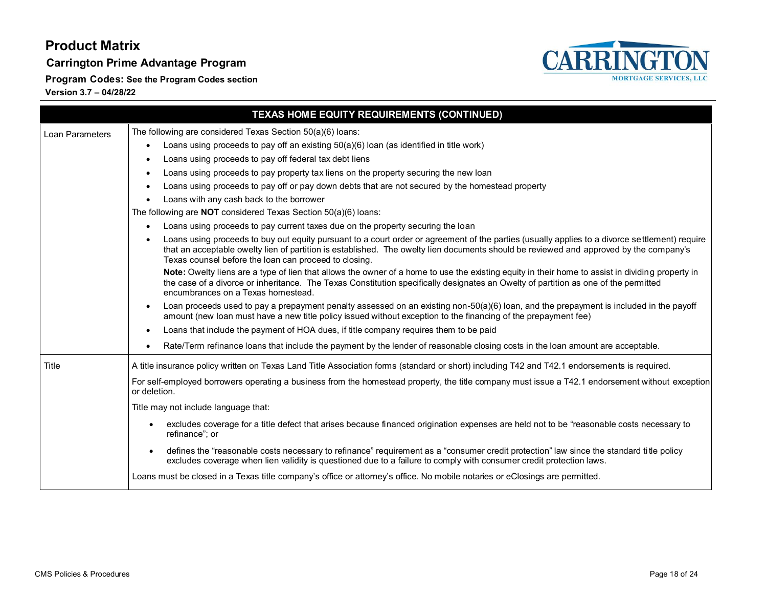**Carrington Prime Advantage Program**

**Program Codes: See the Program Codes section**



|                 | TEXAS HOME EQUITY REQUIREMENTS (CONTINUED)                                                                                                                                                                                                                                                                                                        |
|-----------------|---------------------------------------------------------------------------------------------------------------------------------------------------------------------------------------------------------------------------------------------------------------------------------------------------------------------------------------------------|
| Loan Parameters | The following are considered Texas Section 50(a)(6) loans:                                                                                                                                                                                                                                                                                        |
|                 | Loans using proceeds to pay off an existing 50(a)(6) loan (as identified in title work)                                                                                                                                                                                                                                                           |
|                 | Loans using proceeds to pay off federal tax debt liens                                                                                                                                                                                                                                                                                            |
|                 | Loans using proceeds to pay property tax liens on the property securing the new loan                                                                                                                                                                                                                                                              |
|                 | Loans using proceeds to pay off or pay down debts that are not secured by the homestead property                                                                                                                                                                                                                                                  |
|                 | Loans with any cash back to the borrower<br>$\bullet$                                                                                                                                                                                                                                                                                             |
|                 | The following are <b>NOT</b> considered Texas Section $50(a)(6)$ loans:                                                                                                                                                                                                                                                                           |
|                 | Loans using proceeds to pay current taxes due on the property securing the loan                                                                                                                                                                                                                                                                   |
|                 | Loans using proceeds to buy out equity pursuant to a court order or agreement of the parties (usually applies to a divorce settlement) require<br>that an acceptable owelty lien of partition is established. The owelty lien documents should be reviewed and approved by the company's<br>Texas counsel before the loan can proceed to closing. |
|                 | Note: Owelty liens are a type of lien that allows the owner of a home to use the existing equity in their home to assist in dividing property in<br>the case of a divorce or inheritance. The Texas Constitution specifically designates an Owelty of partition as one of the permitted<br>encumbrances on a Texas homestead.                     |
|                 | Loan proceeds used to pay a prepayment penalty assessed on an existing non-50(a)(6) loan, and the prepayment is included in the payoff<br>amount (new loan must have a new title policy issued without exception to the financing of the prepayment fee)                                                                                          |
|                 | Loans that include the payment of HOA dues, if title company requires them to be paid<br>$\bullet$                                                                                                                                                                                                                                                |
|                 | Rate/Term refinance loans that include the payment by the lender of reasonable closing costs in the loan amount are acceptable.                                                                                                                                                                                                                   |
| <b>Title</b>    | A title insurance policy written on Texas Land Title Association forms (standard or short) including T42 and T42.1 endorsements is required.                                                                                                                                                                                                      |
|                 | For self-employed borrowers operating a business from the homestead property, the title company must issue a T42.1 endorsement without exception<br>or deletion.                                                                                                                                                                                  |
|                 | Title may not include language that:                                                                                                                                                                                                                                                                                                              |
|                 | excludes coverage for a title defect that arises because financed origination expenses are held not to be "reasonable costs necessary to<br>refinance": or                                                                                                                                                                                        |
|                 | defines the "reasonable costs necessary to refinance" requirement as a "consumer credit protection" law since the standard title policy<br>$\bullet$<br>excludes coverage when lien validity is questioned due to a failure to comply with consumer credit protection laws.                                                                       |
|                 | Loans must be closed in a Texas title company's office or attorney's office. No mobile notaries or eClosings are permitted.                                                                                                                                                                                                                       |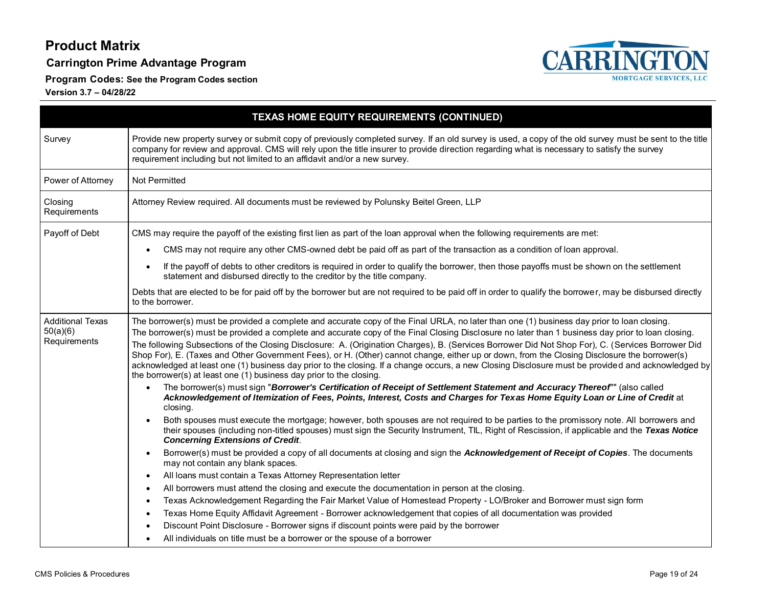**Carrington Prime Advantage Program**

**Program Codes: See the Program Codes section**



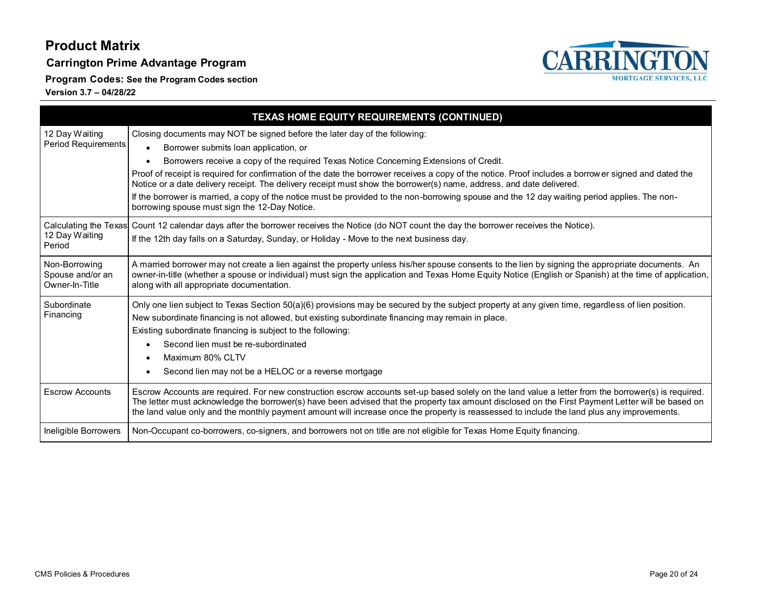**Carrington Prime Advantage Program**

**Program Codes: See the Program Codes section**

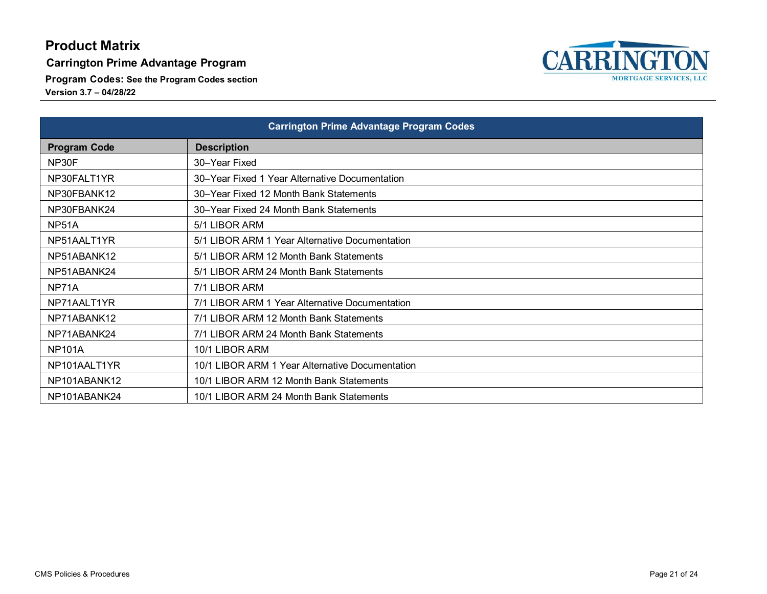#### **Carrington Prime Advantage Program**

**Program Codes: See the Program Codes section**

![](_page_20_Picture_4.jpeg)

| <b>Carrington Prime Advantage Program Codes</b> |                                                 |
|-------------------------------------------------|-------------------------------------------------|
| <b>Program Code</b>                             | <b>Description</b>                              |
| NP30F                                           | 30–Year Fixed                                   |
| NP30FALT1YR                                     | 30–Year Fixed 1 Year Alternative Documentation  |
| NP30FBANK12                                     | 30–Year Fixed 12 Month Bank Statements          |
| NP30FBANK24                                     | 30–Year Fixed 24 Month Bank Statements          |
| NP51A                                           | 5/1 LIBOR ARM                                   |
| NP51AALT1YR                                     | 5/1 LIBOR ARM 1 Year Alternative Documentation  |
| NP51ABANK12                                     | 5/1 LIBOR ARM 12 Month Bank Statements          |
| NP51ABANK24                                     | 5/1 LIBOR ARM 24 Month Bank Statements          |
| NP71A                                           | 7/1 LIBOR ARM                                   |
| NP71AALT1YR                                     | 7/1 LIBOR ARM 1 Year Alternative Documentation  |
| NP71ABANK12                                     | 7/1 LIBOR ARM 12 Month Bank Statements          |
| NP71ABANK24                                     | 7/1 LIBOR ARM 24 Month Bank Statements          |
| <b>NP101A</b>                                   | 10/1 LIBOR ARM                                  |
| NP101AALT1YR                                    | 10/1 LIBOR ARM 1 Year Alternative Documentation |
| NP101ABANK12                                    | 10/1 LIBOR ARM 12 Month Bank Statements         |
| NP101ABANK24                                    | 10/1 LIBOR ARM 24 Month Bank Statements         |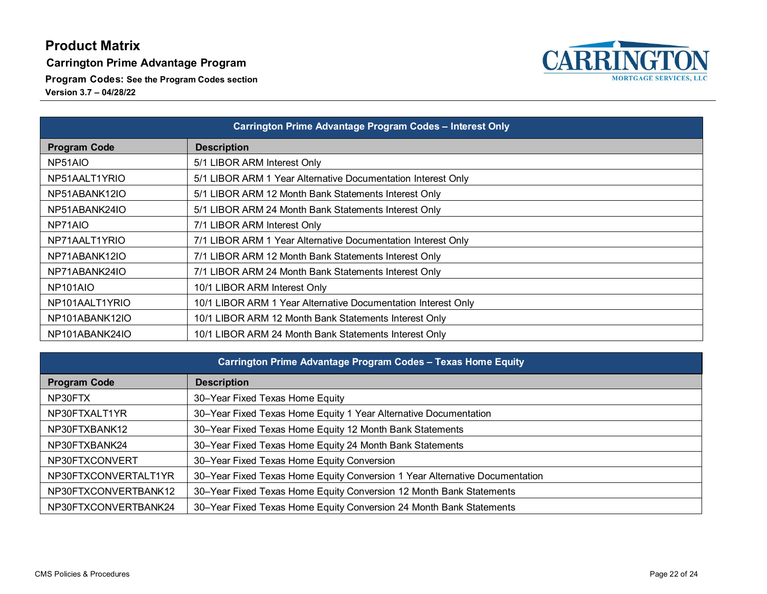**Carrington Prime Advantage Program**

**Program Codes: See the Program Codes section**

![](_page_21_Picture_4.jpeg)

| Carrington Prime Advantage Program Codes - Interest Only |                                                               |
|----------------------------------------------------------|---------------------------------------------------------------|
| <b>Program Code</b>                                      | <b>Description</b>                                            |
| NP51AIO                                                  | 5/1 LIBOR ARM Interest Only                                   |
| NP51AALT1YRIO                                            | 5/1 LIBOR ARM 1 Year Alternative Documentation Interest Only  |
| NP51ABANK12IO                                            | 5/1 LIBOR ARM 12 Month Bank Statements Interest Only          |
| NP51ABANK24IO                                            | 5/1 LIBOR ARM 24 Month Bank Statements Interest Only          |
| NP71AIO                                                  | 7/1 LIBOR ARM Interest Only                                   |
| NP71AALT1YRIO                                            | 7/1 LIBOR ARM 1 Year Alternative Documentation Interest Only  |
| NP71ABANK12IO                                            | 7/1 LIBOR ARM 12 Month Bank Statements Interest Only          |
| NP71ABANK24IO                                            | 7/1 LIBOR ARM 24 Month Bank Statements Interest Only          |
| NP <sub>101</sub> AIO                                    | 10/1 LIBOR ARM Interest Only                                  |
| NP101AALT1YRIO                                           | 10/1 LIBOR ARM 1 Year Alternative Documentation Interest Only |
| NP101ABANK12IO                                           | 10/1 LIBOR ARM 12 Month Bank Statements Interest Only         |
| NP101ABANK24IO                                           | 10/1 LIBOR ARM 24 Month Bank Statements Interest Only         |

| Carrington Prime Advantage Program Codes - Texas Home Equity |                                                                             |  |
|--------------------------------------------------------------|-----------------------------------------------------------------------------|--|
| <b>Program Code</b>                                          | <b>Description</b>                                                          |  |
| NP30FTX                                                      | 30–Year Fixed Texas Home Equity                                             |  |
| NP30FTXALT1YR                                                | 30-Year Fixed Texas Home Equity 1 Year Alternative Documentation            |  |
| NP30FTXBANK12                                                | 30–Year Fixed Texas Home Equity 12 Month Bank Statements                    |  |
| NP30FTXBANK24                                                | 30-Year Fixed Texas Home Equity 24 Month Bank Statements                    |  |
| NP30FTXCONVERT                                               | 30-Year Fixed Texas Home Equity Conversion                                  |  |
| NP30FTXCONVERTALT1YR                                         | 30–Year Fixed Texas Home Equity Conversion 1 Year Alternative Documentation |  |
| NP30FTXCONVERTBANK12                                         | 30–Year Fixed Texas Home Equity Conversion 12 Month Bank Statements         |  |
| NP30FTXCONVERTBANK24                                         | 30–Year Fixed Texas Home Equity Conversion 24 Month Bank Statements         |  |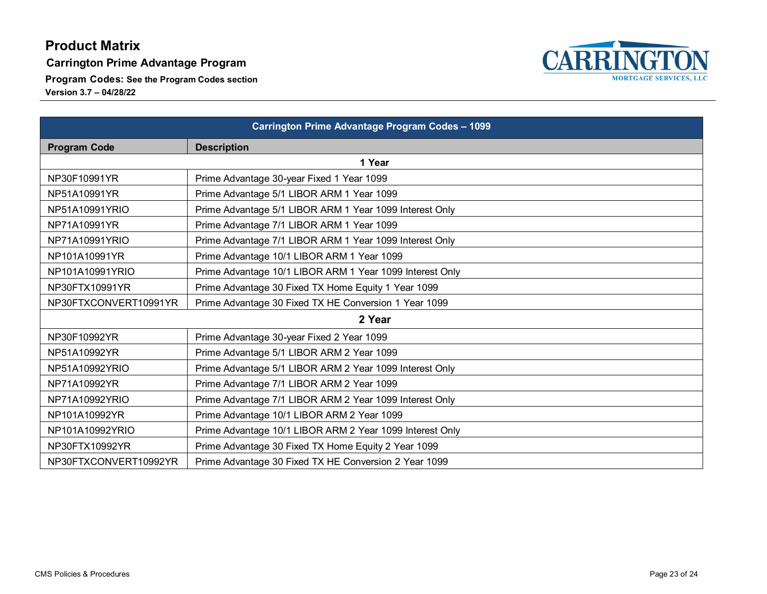**Carrington Prime Advantage Program**

**Program Codes: See the Program Codes section**

**Version 3.7 – 04/28/22**

![](_page_22_Picture_4.jpeg)

NP30FTXCONVERT10992YR | Prime Advantage 30 Fixed TX HE Conversion 2 Year 1099

![](_page_22_Picture_5.jpeg)